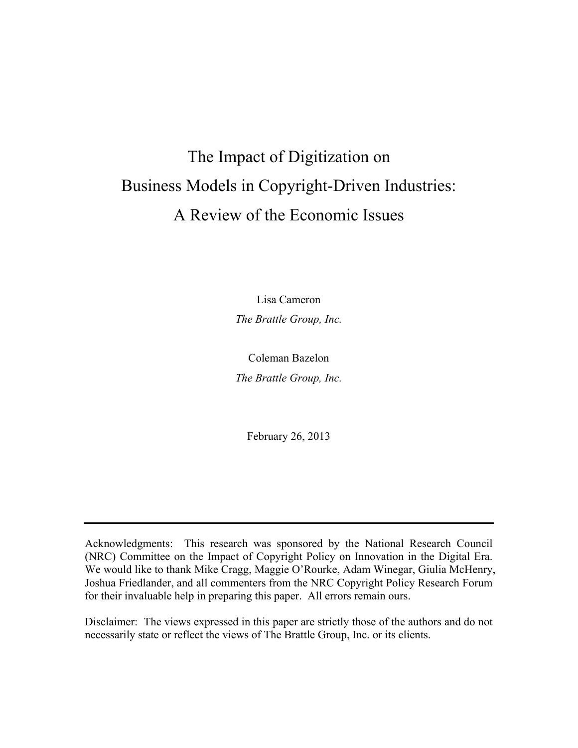# The Impact of Digitization on Business Models in Copyright-Driven Industries: A Review of the Economic Issues

Lisa Cameron *The Brattle Group, Inc.* 

Coleman Bazelon *The Brattle Group, Inc.* 

February 26, 2013

Acknowledgments: This research was sponsored by the National Research Council (NRC) Committee on the Impact of Copyright Policy on Innovation in the Digital Era. We would like to thank Mike Cragg, Maggie O'Rourke, Adam Winegar, Giulia McHenry, Joshua Friedlander, and all commenters from the NRC Copyright Policy Research Forum for their invaluable help in preparing this paper. All errors remain ours.

Disclaimer: The views expressed in this paper are strictly those of the authors and do not necessarily state or reflect the views of The Brattle Group, Inc. or its clients.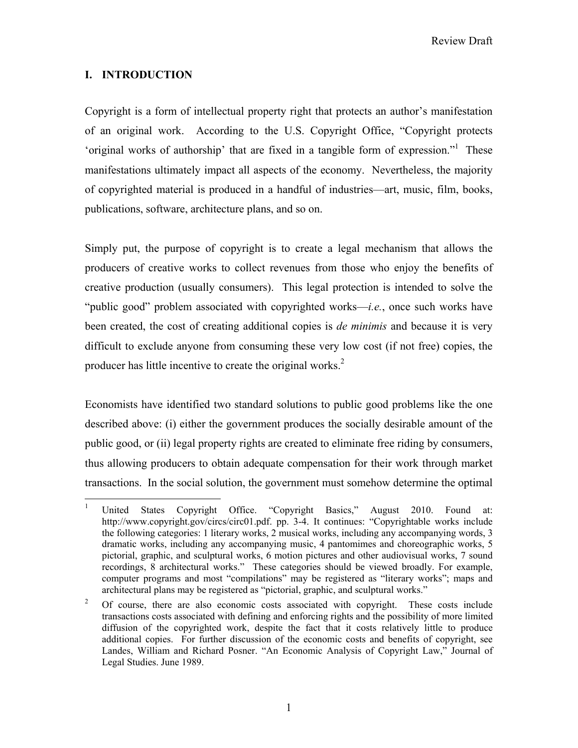Review Draft

# **I. INTRODUCTION**

Copyright is a form of intellectual property right that protects an author's manifestation of an original work. According to the U.S. Copyright Office, "Copyright protects 'original works of authorship' that are fixed in a tangible form of expression."<sup>1</sup> These manifestations ultimately impact all aspects of the economy. Nevertheless, the majority of copyrighted material is produced in a handful of industries—art, music, film, books, publications, software, architecture plans, and so on.

Simply put, the purpose of copyright is to create a legal mechanism that allows the producers of creative works to collect revenues from those who enjoy the benefits of creative production (usually consumers). This legal protection is intended to solve the "public good" problem associated with copyrighted works—*i.e.*, once such works have been created, the cost of creating additional copies is *de minimis* and because it is very difficult to exclude anyone from consuming these very low cost (if not free) copies, the producer has little incentive to create the original works.2

Economists have identified two standard solutions to public good problems like the one described above: (i) either the government produces the socially desirable amount of the public good, or (ii) legal property rights are created to eliminate free riding by consumers, thus allowing producers to obtain adequate compensation for their work through market transactions. In the social solution, the government must somehow determine the optimal

 $\frac{1}{1}$  United States Copyright Office. "Copyright Basics," August 2010. Found at: http://www.copyright.gov/circs/circ01.pdf. pp. 3-4. It continues: "Copyrightable works include the following categories: 1 literary works, 2 musical works, including any accompanying words, 3 dramatic works, including any accompanying music, 4 pantomimes and choreographic works, 5 pictorial, graphic, and sculptural works, 6 motion pictures and other audiovisual works, 7 sound recordings, 8 architectural works." These categories should be viewed broadly. For example, computer programs and most "compilations" may be registered as "literary works"; maps and architectural plans may be registered as "pictorial, graphic, and sculptural works."

<sup>2</sup> Of course, there are also economic costs associated with copyright. These costs include transactions costs associated with defining and enforcing rights and the possibility of more limited diffusion of the copyrighted work, despite the fact that it costs relatively little to produce additional copies. For further discussion of the economic costs and benefits of copyright, see Landes, William and Richard Posner. "An Economic Analysis of Copyright Law," Journal of Legal Studies. June 1989.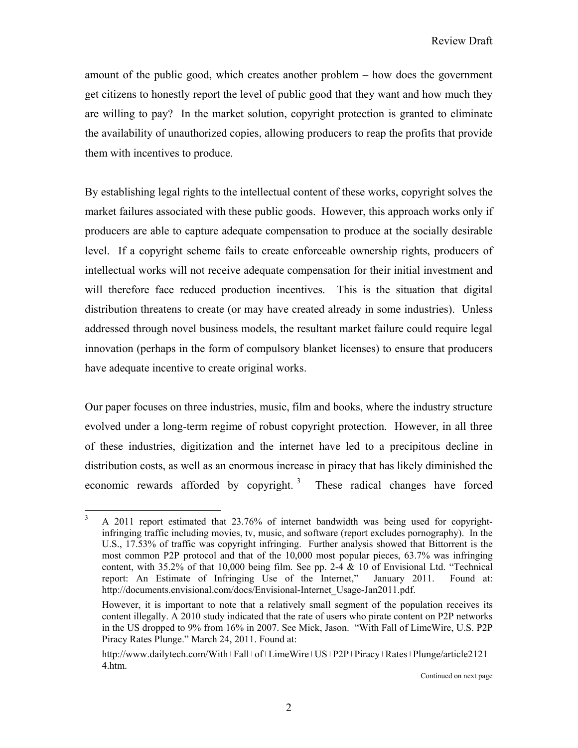amount of the public good, which creates another problem – how does the government get citizens to honestly report the level of public good that they want and how much they are willing to pay? In the market solution, copyright protection is granted to eliminate the availability of unauthorized copies, allowing producers to reap the profits that provide them with incentives to produce.

By establishing legal rights to the intellectual content of these works, copyright solves the market failures associated with these public goods. However, this approach works only if producers are able to capture adequate compensation to produce at the socially desirable level. If a copyright scheme fails to create enforceable ownership rights, producers of intellectual works will not receive adequate compensation for their initial investment and will therefore face reduced production incentives. This is the situation that digital distribution threatens to create (or may have created already in some industries). Unless addressed through novel business models, the resultant market failure could require legal innovation (perhaps in the form of compulsory blanket licenses) to ensure that producers have adequate incentive to create original works.

Our paper focuses on three industries, music, film and books, where the industry structure evolved under a long-term regime of robust copyright protection. However, in all three of these industries, digitization and the internet have led to a precipitous decline in distribution costs, as well as an enormous increase in piracy that has likely diminished the economic rewards afforded by copyright.<sup>3</sup> These radical changes have forced

<sup>&</sup>lt;sup>2</sup><br>3 A 2011 report estimated that 23.76% of internet bandwidth was being used for copyrightinfringing traffic including movies, tv, music, and software (report excludes pornography). In the U.S., 17.53% of traffic was copyright infringing. Further analysis showed that Bittorrent is the most common P2P protocol and that of the 10,000 most popular pieces, 63.7% was infringing content, with  $35.2\%$  of that 10,000 being film. See pp. 2-4 & 10 of Envisional Ltd. "Technical report: An Estimate of Infringing Use of the Internet," January 2011. Found at: http://documents.envisional.com/docs/Envisional-Internet\_Usage-Jan2011.pdf.

However, it is important to note that a relatively small segment of the population receives its content illegally. A 2010 study indicated that the rate of users who pirate content on P2P networks in the US dropped to 9% from 16% in 2007. See Mick, Jason. "With Fall of LimeWire, U.S. P2P Piracy Rates Plunge." March 24, 2011. Found at:

http://www.dailytech.com/With+Fall+of+LimeWire+US+P2P+Piracy+Rates+Plunge/article2121 4.htm.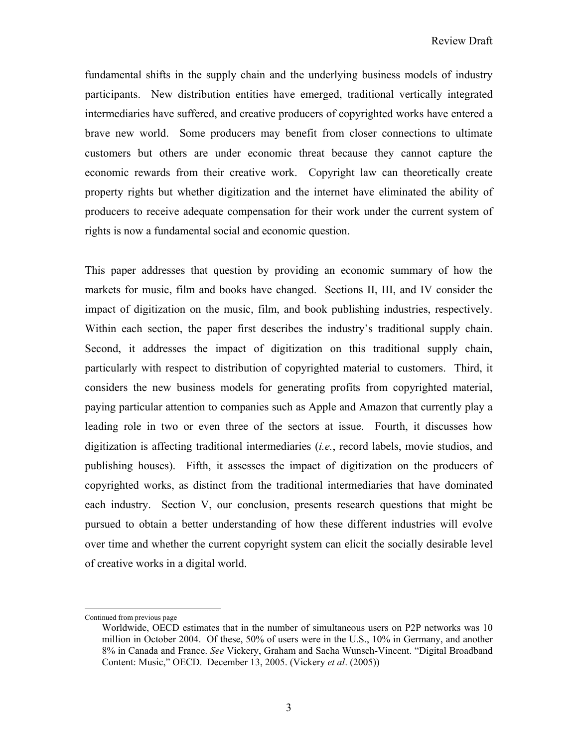fundamental shifts in the supply chain and the underlying business models of industry participants. New distribution entities have emerged, traditional vertically integrated intermediaries have suffered, and creative producers of copyrighted works have entered a brave new world. Some producers may benefit from closer connections to ultimate customers but others are under economic threat because they cannot capture the economic rewards from their creative work. Copyright law can theoretically create property rights but whether digitization and the internet have eliminated the ability of producers to receive adequate compensation for their work under the current system of rights is now a fundamental social and economic question.

This paper addresses that question by providing an economic summary of how the markets for music, film and books have changed. Sections II, III, and IV consider the impact of digitization on the music, film, and book publishing industries, respectively. Within each section, the paper first describes the industry's traditional supply chain. Second, it addresses the impact of digitization on this traditional supply chain, particularly with respect to distribution of copyrighted material to customers. Third, it considers the new business models for generating profits from copyrighted material, paying particular attention to companies such as Apple and Amazon that currently play a leading role in two or even three of the sectors at issue. Fourth, it discusses how digitization is affecting traditional intermediaries (*i.e.*, record labels, movie studios, and publishing houses). Fifth, it assesses the impact of digitization on the producers of copyrighted works, as distinct from the traditional intermediaries that have dominated each industry. Section V, our conclusion, presents research questions that might be pursued to obtain a better understanding of how these different industries will evolve over time and whether the current copyright system can elicit the socially desirable level of creative works in a digital world.

 $\overline{a}$ 

Continued from previous page

Worldwide, OECD estimates that in the number of simultaneous users on P2P networks was 10 million in October 2004. Of these, 50% of users were in the U.S., 10% in Germany, and another 8% in Canada and France. *See* Vickery, Graham and Sacha Wunsch-Vincent. "Digital Broadband Content: Music," OECD. December 13, 2005. (Vickery *et al*. (2005))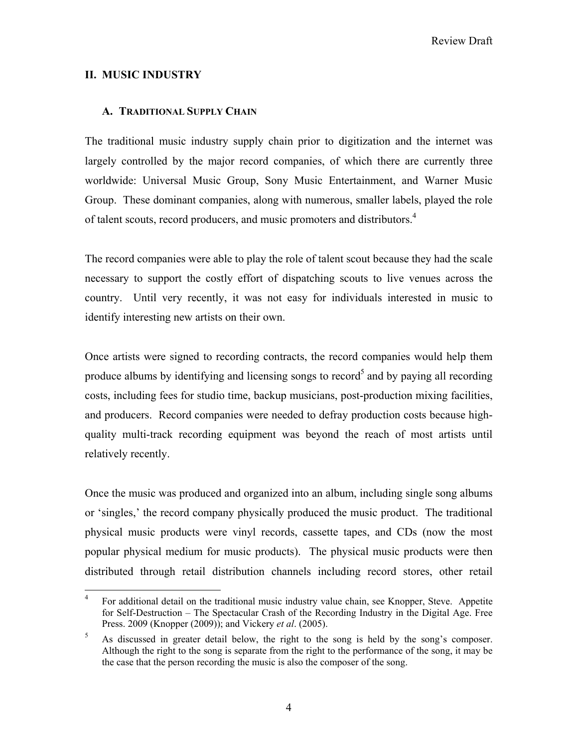## **II. MUSIC INDUSTRY**

## **A. TRADITIONAL SUPPLY CHAIN**

The traditional music industry supply chain prior to digitization and the internet was largely controlled by the major record companies, of which there are currently three worldwide: Universal Music Group, Sony Music Entertainment, and Warner Music Group. These dominant companies, along with numerous, smaller labels, played the role of talent scouts, record producers, and music promoters and distributors.<sup>4</sup>

The record companies were able to play the role of talent scout because they had the scale necessary to support the costly effort of dispatching scouts to live venues across the country. Until very recently, it was not easy for individuals interested in music to identify interesting new artists on their own.

Once artists were signed to recording contracts, the record companies would help them produce albums by identifying and licensing songs to record<sup>5</sup> and by paying all recording costs, including fees for studio time, backup musicians, post-production mixing facilities, and producers. Record companies were needed to defray production costs because highquality multi-track recording equipment was beyond the reach of most artists until relatively recently.

Once the music was produced and organized into an album, including single song albums or 'singles,' the record company physically produced the music product. The traditional physical music products were vinyl records, cassette tapes, and CDs (now the most popular physical medium for music products). The physical music products were then distributed through retail distribution channels including record stores, other retail

 $\frac{1}{4}$  For additional detail on the traditional music industry value chain, see Knopper, Steve. Appetite for Self-Destruction – The Spectacular Crash of the Recording Industry in the Digital Age. Free Press. 2009 (Knopper (2009)); and Vickery *et al*. (2005).

<sup>5</sup> As discussed in greater detail below, the right to the song is held by the song's composer. Although the right to the song is separate from the right to the performance of the song, it may be the case that the person recording the music is also the composer of the song.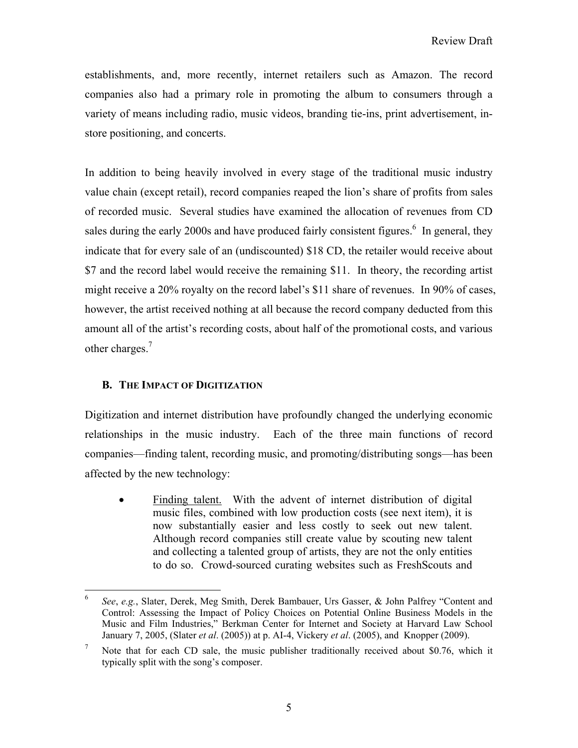establishments, and, more recently, internet retailers such as Amazon. The record companies also had a primary role in promoting the album to consumers through a variety of means including radio, music videos, branding tie-ins, print advertisement, instore positioning, and concerts.

In addition to being heavily involved in every stage of the traditional music industry value chain (except retail), record companies reaped the lion's share of profits from sales of recorded music. Several studies have examined the allocation of revenues from CD sales during the early 2000s and have produced fairly consistent figures.<sup>6</sup> In general, they indicate that for every sale of an (undiscounted) \$18 CD, the retailer would receive about \$7 and the record label would receive the remaining \$11. In theory, the recording artist might receive a 20% royalty on the record label's \$11 share of revenues. In 90% of cases, however, the artist received nothing at all because the record company deducted from this amount all of the artist's recording costs, about half of the promotional costs, and various other charges.<sup>7</sup>

# **B. THE IMPACT OF DIGITIZATION**

Digitization and internet distribution have profoundly changed the underlying economic relationships in the music industry. Each of the three main functions of record companies—finding talent, recording music, and promoting/distributing songs—has been affected by the new technology:

 Finding talent. With the advent of internet distribution of digital music files, combined with low production costs (see next item), it is now substantially easier and less costly to seek out new talent. Although record companies still create value by scouting new talent and collecting a talented group of artists, they are not the only entities to do so. Crowd-sourced curating websites such as FreshScouts and

 6 *See*, *e.g.*, Slater, Derek, Meg Smith, Derek Bambauer, Urs Gasser, & John Palfrey "Content and Control: Assessing the Impact of Policy Choices on Potential Online Business Models in the Music and Film Industries," Berkman Center for Internet and Society at Harvard Law School January 7, 2005, (Slater *et al*. (2005)) at p. AI-4, Vickery *et al*. (2005), and Knopper (2009).

<sup>7</sup> Note that for each CD sale, the music publisher traditionally received about \$0.76, which it typically split with the song's composer.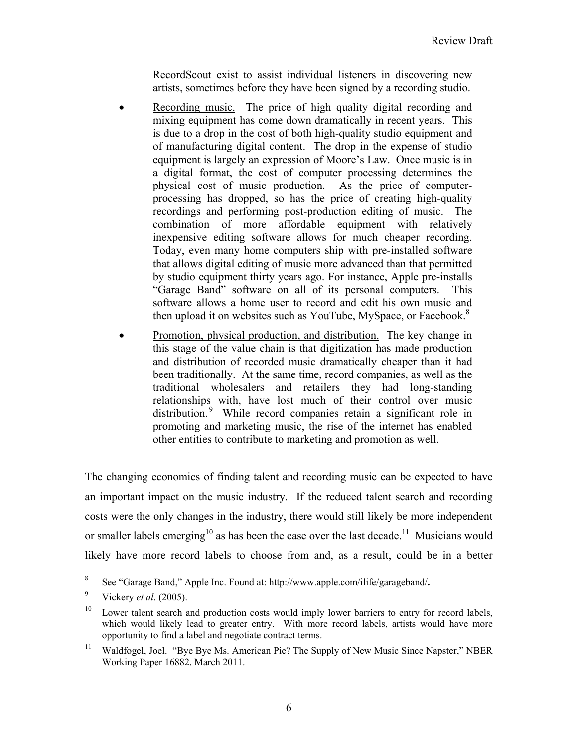RecordScout exist to assist individual listeners in discovering new artists, sometimes before they have been signed by a recording studio.

- Recording music. The price of high quality digital recording and mixing equipment has come down dramatically in recent years. This is due to a drop in the cost of both high-quality studio equipment and of manufacturing digital content. The drop in the expense of studio equipment is largely an expression of Moore's Law. Once music is in a digital format, the cost of computer processing determines the physical cost of music production. As the price of computerprocessing has dropped, so has the price of creating high-quality recordings and performing post-production editing of music. The combination of more affordable equipment with relatively inexpensive editing software allows for much cheaper recording. Today, even many home computers ship with pre-installed software that allows digital editing of music more advanced than that permitted by studio equipment thirty years ago. For instance, Apple pre-installs "Garage Band" software on all of its personal computers. This software allows a home user to record and edit his own music and then upload it on websites such as YouTube, MySpace, or Facebook.<sup>8</sup>
- Promotion, physical production, and distribution. The key change in this stage of the value chain is that digitization has made production and distribution of recorded music dramatically cheaper than it had been traditionally. At the same time, record companies, as well as the traditional wholesalers and retailers they had long-standing relationships with, have lost much of their control over music distribution.<sup>9</sup> While record companies retain a significant role in promoting and marketing music, the rise of the internet has enabled other entities to contribute to marketing and promotion as well.

The changing economics of finding talent and recording music can be expected to have an important impact on the music industry. If the reduced talent search and recording costs were the only changes in the industry, there would still likely be more independent or smaller labels emerging<sup>10</sup> as has been the case over the last decade.<sup>11</sup> Musicians would likely have more record labels to choose from and, as a result, could be in a better

 8 See "Garage Band," Apple Inc. Found at: http://www.apple.com/ilife/garageband/**.** 

<sup>9</sup> Vickery *et al*. (2005).

<sup>&</sup>lt;sup>10</sup> Lower talent search and production costs would imply lower barriers to entry for record labels, which would likely lead to greater entry. With more record labels, artists would have more opportunity to find a label and negotiate contract terms.

<sup>&</sup>lt;sup>11</sup> Waldfogel, Joel. "Bye Bye Ms. American Pie? The Supply of New Music Since Napster," NBER Working Paper 16882. March 2011.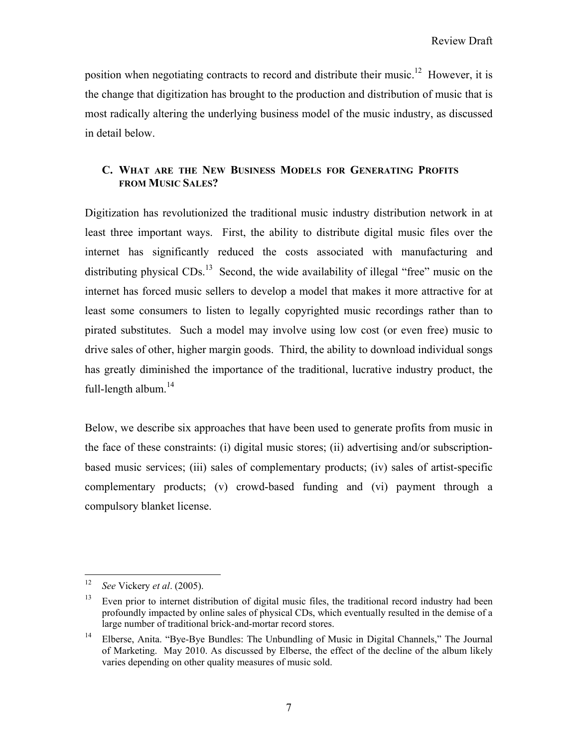position when negotiating contracts to record and distribute their music.<sup>12</sup> However, it is the change that digitization has brought to the production and distribution of music that is most radically altering the underlying business model of the music industry, as discussed in detail below.

# **C. WHAT ARE THE NEW BUSINESS MODELS FOR GENERATING PROFITS FROM MUSIC SALES?**

Digitization has revolutionized the traditional music industry distribution network in at least three important ways. First, the ability to distribute digital music files over the internet has significantly reduced the costs associated with manufacturing and distributing physical  $CDs<sup>13</sup>$  Second, the wide availability of illegal "free" music on the internet has forced music sellers to develop a model that makes it more attractive for at least some consumers to listen to legally copyrighted music recordings rather than to pirated substitutes. Such a model may involve using low cost (or even free) music to drive sales of other, higher margin goods. Third, the ability to download individual songs has greatly diminished the importance of the traditional, lucrative industry product, the full-length album.<sup>14</sup>

Below, we describe six approaches that have been used to generate profits from music in the face of these constraints: (i) digital music stores; (ii) advertising and/or subscriptionbased music services; (iii) sales of complementary products; (iv) sales of artist-specific complementary products; (v) crowd-based funding and (vi) payment through a compulsory blanket license.

 $12\,$ 12 *See* Vickery *et al*. (2005).

<sup>&</sup>lt;sup>13</sup> Even prior to internet distribution of digital music files, the traditional record industry had been profoundly impacted by online sales of physical CDs, which eventually resulted in the demise of a large number of traditional brick-and-mortar record stores.

<sup>&</sup>lt;sup>14</sup> Elberse, Anita. "Bye-Bye Bundles: The Unbundling of Music in Digital Channels," The Journal of Marketing. May 2010. As discussed by Elberse, the effect of the decline of the album likely varies depending on other quality measures of music sold.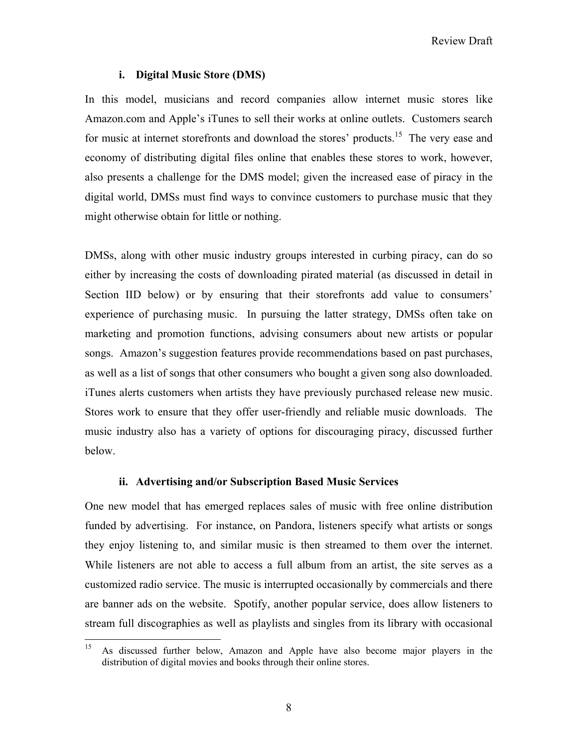Review Draft

#### **i. Digital Music Store (DMS)**

In this model, musicians and record companies allow internet music stores like Amazon.com and Apple's iTunes to sell their works at online outlets. Customers search for music at internet storefronts and download the stores' products.<sup>15</sup> The very ease and economy of distributing digital files online that enables these stores to work, however, also presents a challenge for the DMS model; given the increased ease of piracy in the digital world, DMSs must find ways to convince customers to purchase music that they might otherwise obtain for little or nothing.

DMSs, along with other music industry groups interested in curbing piracy, can do so either by increasing the costs of downloading pirated material (as discussed in detail in Section IID below) or by ensuring that their storefronts add value to consumers' experience of purchasing music. In pursuing the latter strategy, DMSs often take on marketing and promotion functions, advising consumers about new artists or popular songs. Amazon's suggestion features provide recommendations based on past purchases, as well as a list of songs that other consumers who bought a given song also downloaded. iTunes alerts customers when artists they have previously purchased release new music. Stores work to ensure that they offer user-friendly and reliable music downloads. The music industry also has a variety of options for discouraging piracy, discussed further below.

#### **ii. Advertising and/or Subscription Based Music Services**

One new model that has emerged replaces sales of music with free online distribution funded by advertising. For instance, on Pandora, listeners specify what artists or songs they enjoy listening to, and similar music is then streamed to them over the internet. While listeners are not able to access a full album from an artist, the site serves as a customized radio service. The music is interrupted occasionally by commercials and there are banner ads on the website. Spotify, another popular service, does allow listeners to stream full discographies as well as playlists and singles from its library with occasional

 $15\,$ 15 As discussed further below, Amazon and Apple have also become major players in the distribution of digital movies and books through their online stores.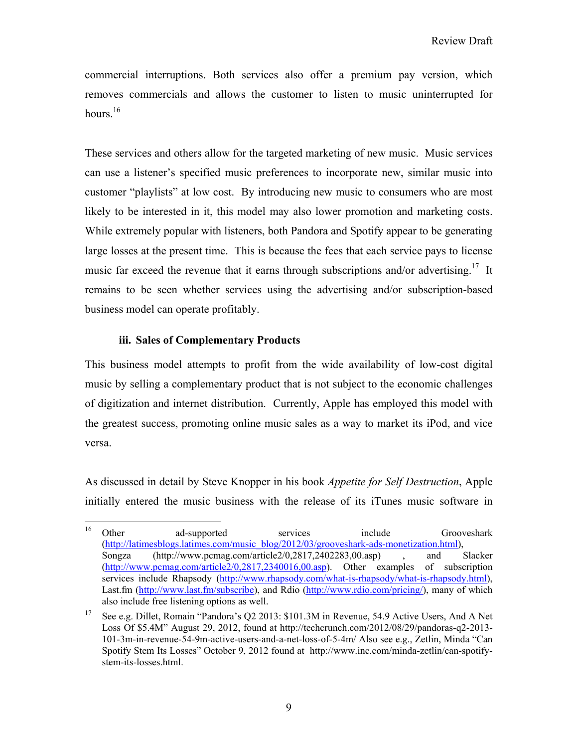commercial interruptions. Both services also offer a premium pay version, which removes commercials and allows the customer to listen to music uninterrupted for hours.<sup>16</sup>

These services and others allow for the targeted marketing of new music. Music services can use a listener's specified music preferences to incorporate new, similar music into customer "playlists" at low cost. By introducing new music to consumers who are most likely to be interested in it, this model may also lower promotion and marketing costs. While extremely popular with listeners, both Pandora and Spotify appear to be generating large losses at the present time. This is because the fees that each service pays to license music far exceed the revenue that it earns through subscriptions and/or advertising.<sup>17</sup> It remains to be seen whether services using the advertising and/or subscription-based business model can operate profitably.

## **iii. Sales of Complementary Products**

This business model attempts to profit from the wide availability of low-cost digital music by selling a complementary product that is not subject to the economic challenges of digitization and internet distribution. Currently, Apple has employed this model with the greatest success, promoting online music sales as a way to market its iPod, and vice versa.

As discussed in detail by Steve Knopper in his book *Appetite for Self Destruction*, Apple initially entered the music business with the release of its iTunes music software in

<sup>16</sup> <sup>16</sup> Other ad-supported services include Grooveshark (http://latimesblogs.latimes.com/music\_blog/2012/03/grooveshark-ads-monetization.html), Songza (http://www.pcmag.com/article2/0,2817,2402283,00.asp) , and Slacker (http://www.pcmag.com/article2/0,2817,2340016,00.asp). Other examples of subscription services include Rhapsody (http://www.rhapsody.com/what-is-rhapsody/what-is-rhapsody.html), Last.fm (http://www.last.fm/subscribe), and Rdio (http://www.rdio.com/pricing/), many of which also include free listening options as well.

<sup>&</sup>lt;sup>17</sup> See e.g. Dillet, Romain "Pandora's Q2 2013: \$101.3M in Revenue, 54.9 Active Users, And A Net Loss Of \$5.4M" August 29, 2012, found at http://techcrunch.com/2012/08/29/pandoras-q2-2013- 101-3m-in-revenue-54-9m-active-users-and-a-net-loss-of-5-4m/ Also see e.g., Zetlin, Minda "Can Spotify Stem Its Losses" October 9, 2012 found at http://www.inc.com/minda-zetlin/can-spotifystem-its-losses.html.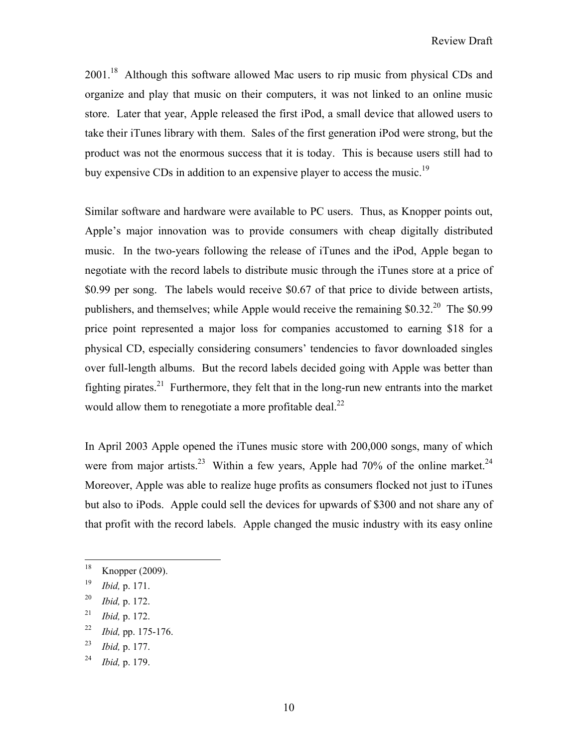2001.<sup>18</sup> Although this software allowed Mac users to rip music from physical CDs and organize and play that music on their computers, it was not linked to an online music store. Later that year, Apple released the first iPod, a small device that allowed users to take their iTunes library with them. Sales of the first generation iPod were strong, but the product was not the enormous success that it is today. This is because users still had to buy expensive CDs in addition to an expensive player to access the music.<sup>19</sup>

Similar software and hardware were available to PC users. Thus, as Knopper points out, Apple's major innovation was to provide consumers with cheap digitally distributed music. In the two-years following the release of iTunes and the iPod, Apple began to negotiate with the record labels to distribute music through the iTunes store at a price of \$0.99 per song. The labels would receive \$0.67 of that price to divide between artists, publishers, and themselves; while Apple would receive the remaining  $$0.32<sup>20</sup>$  The  $$0.99$ price point represented a major loss for companies accustomed to earning \$18 for a physical CD, especially considering consumers' tendencies to favor downloaded singles over full-length albums. But the record labels decided going with Apple was better than fighting pirates.<sup>21</sup> Furthermore, they felt that in the long-run new entrants into the market would allow them to renegotiate a more profitable deal.<sup>22</sup>

In April 2003 Apple opened the iTunes music store with 200,000 songs, many of which were from major artists.<sup>23</sup> Within a few years, Apple had 70% of the online market.<sup>24</sup> Moreover, Apple was able to realize huge profits as consumers flocked not just to iTunes but also to iPods. Apple could sell the devices for upwards of \$300 and not share any of that profit with the record labels. Apple changed the music industry with its easy online

 $18\,$ Knopper (2009).

<sup>19</sup> *Ibid,* p. 171.

<sup>20</sup> *Ibid,* p. 172.

<sup>21</sup> *Ibid,* p. 172.

<sup>22</sup> *Ibid,* pp. 175-176.

<sup>23</sup> *Ibid,* p. 177.

<sup>24</sup> *Ibid,* p. 179.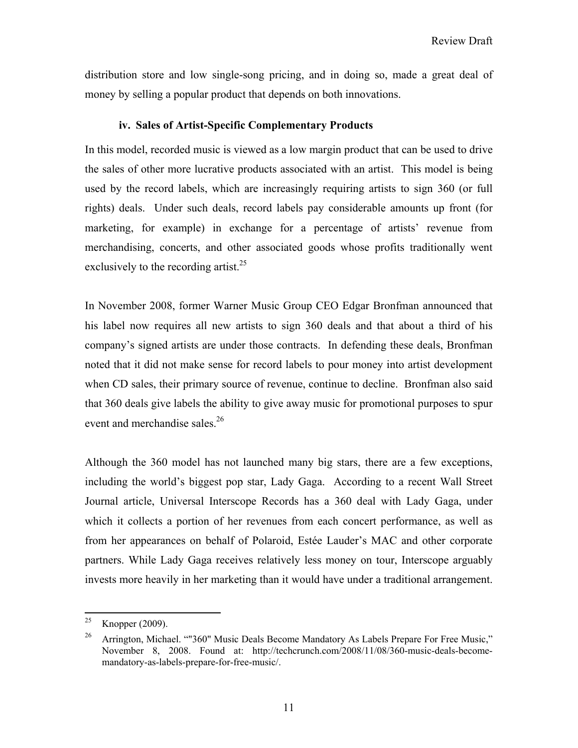distribution store and low single-song pricing, and in doing so, made a great deal of money by selling a popular product that depends on both innovations.

#### **iv. Sales of Artist-Specific Complementary Products**

In this model, recorded music is viewed as a low margin product that can be used to drive the sales of other more lucrative products associated with an artist. This model is being used by the record labels, which are increasingly requiring artists to sign 360 (or full rights) deals. Under such deals, record labels pay considerable amounts up front (for marketing, for example) in exchange for a percentage of artists' revenue from merchandising, concerts, and other associated goods whose profits traditionally went exclusively to the recording artist.<sup>25</sup>

In November 2008, former Warner Music Group CEO Edgar Bronfman announced that his label now requires all new artists to sign 360 deals and that about a third of his company's signed artists are under those contracts. In defending these deals, Bronfman noted that it did not make sense for record labels to pour money into artist development when CD sales, their primary source of revenue, continue to decline. Bronfman also said that 360 deals give labels the ability to give away music for promotional purposes to spur event and merchandise sales.<sup>26</sup>

Although the 360 model has not launched many big stars, there are a few exceptions, including the world's biggest pop star, Lady Gaga. According to a recent Wall Street Journal article, Universal Interscope Records has a 360 deal with Lady Gaga, under which it collects a portion of her revenues from each concert performance, as well as from her appearances on behalf of Polaroid, Estée Lauder's MAC and other corporate partners. While Lady Gaga receives relatively less money on tour, Interscope arguably invests more heavily in her marketing than it would have under a traditional arrangement.

<sup>25</sup> Knopper (2009).

<sup>&</sup>lt;sup>26</sup> Arrington, Michael. ""360" Music Deals Become Mandatory As Labels Prepare For Free Music," November 8, 2008. Found at: http://techcrunch.com/2008/11/08/360-music-deals-becomemandatory-as-labels-prepare-for-free-music/.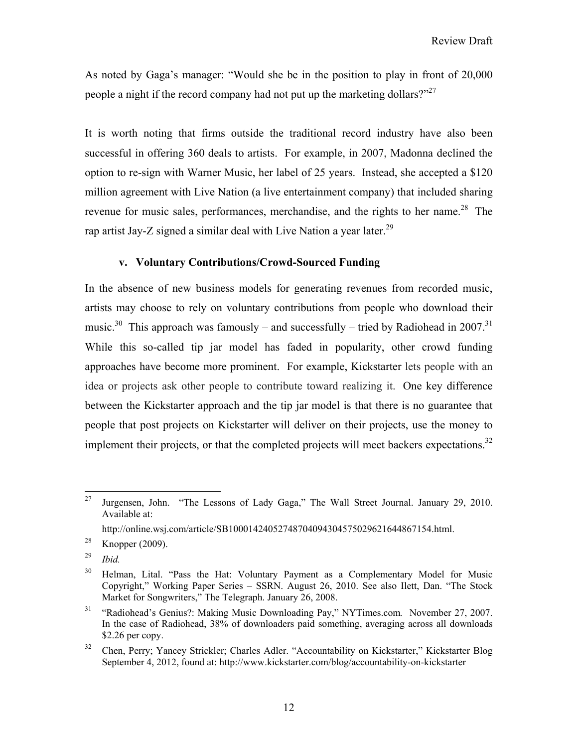As noted by Gaga's manager: "Would she be in the position to play in front of 20,000 people a night if the record company had not put up the marketing dollars?"<sup>27</sup>

It is worth noting that firms outside the traditional record industry have also been successful in offering 360 deals to artists. For example, in 2007, Madonna declined the option to re-sign with Warner Music, her label of 25 years. Instead, she accepted a \$120 million agreement with Live Nation (a live entertainment company) that included sharing revenue for music sales, performances, merchandise, and the rights to her name.<sup>28</sup> The rap artist Jay-Z signed a similar deal with Live Nation a year later.<sup>29</sup>

## **v. Voluntary Contributions/Crowd-Sourced Funding**

In the absence of new business models for generating revenues from recorded music, artists may choose to rely on voluntary contributions from people who download their music.<sup>30</sup> This approach was famously – and successfully – tried by Radiohead in 2007.<sup>31</sup> While this so-called tip jar model has faded in popularity, other crowd funding approaches have become more prominent. For example, Kickstarter lets people with an idea or projects ask other people to contribute toward realizing it. One key difference between the Kickstarter approach and the tip jar model is that there is no guarantee that people that post projects on Kickstarter will deliver on their projects, use the money to implement their projects, or that the completed projects will meet backers expectations.<sup>32</sup>

29 *Ibid.*

<sup>27</sup> Jurgensen, John. "The Lessons of Lady Gaga," The Wall Street Journal. January 29, 2010. Available at:

http://online.wsj.com/article/SB10001424052748704094304575029621644867154.html.

<sup>&</sup>lt;sup>28</sup> Knopper (2009).

<sup>&</sup>lt;sup>30</sup> Helman, Lital. "Pass the Hat: Voluntary Payment as a Complementary Model for Music Copyright," Working Paper Series – SSRN. August 26, 2010. See also Ilett, Dan. "The Stock Market for Songwriters," The Telegraph. January 26, 2008.

<sup>31 &</sup>quot;Radiohead's Genius?: Making Music Downloading Pay," NYTimes.com*.* November 27, 2007. In the case of Radiohead, 38% of downloaders paid something, averaging across all downloads \$2.26 per copy.

<sup>&</sup>lt;sup>32</sup> Chen, Perry; Yancey Strickler; Charles Adler. "Accountability on Kickstarter," Kickstarter Blog September 4, 2012, found at: http://www.kickstarter.com/blog/accountability-on-kickstarter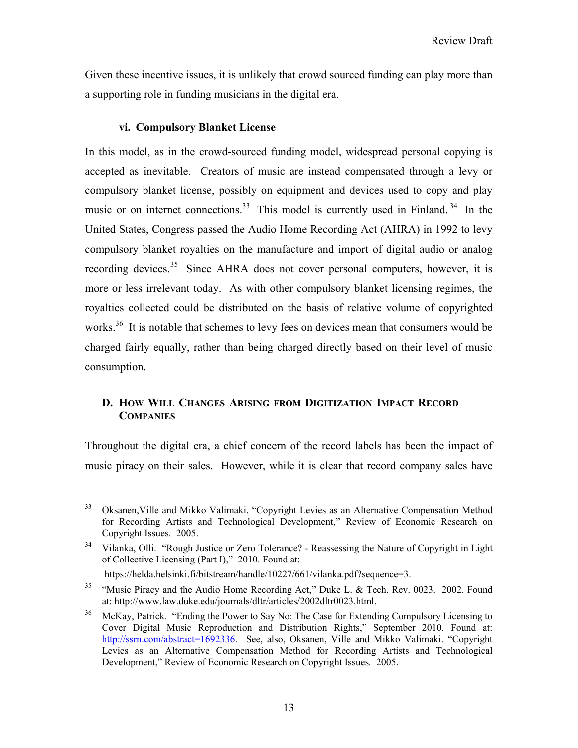Given these incentive issues, it is unlikely that crowd sourced funding can play more than a supporting role in funding musicians in the digital era.

#### **vi. Compulsory Blanket License**

In this model, as in the crowd-sourced funding model, widespread personal copying is accepted as inevitable. Creators of music are instead compensated through a levy or compulsory blanket license, possibly on equipment and devices used to copy and play music or on internet connections.<sup>33</sup> This model is currently used in Finland.<sup>34</sup> In the United States, Congress passed the Audio Home Recording Act (AHRA) in 1992 to levy compulsory blanket royalties on the manufacture and import of digital audio or analog recording devices.<sup>35</sup> Since AHRA does not cover personal computers, however, it is more or less irrelevant today. As with other compulsory blanket licensing regimes, the royalties collected could be distributed on the basis of relative volume of copyrighted works.<sup>36</sup> It is notable that schemes to levy fees on devices mean that consumers would be charged fairly equally, rather than being charged directly based on their level of music consumption.

# **D. HOW WILL CHANGES ARISING FROM DIGITIZATION IMPACT RECORD COMPANIES**

Throughout the digital era, a chief concern of the record labels has been the impact of music piracy on their sales. However, while it is clear that record company sales have

<sup>33</sup> 33 Oksanen,Ville and Mikko Valimaki. "Copyright Levies as an Alternative Compensation Method for Recording Artists and Technological Development," Review of Economic Research on Copyright Issues*.* 2005.

<sup>&</sup>lt;sup>34</sup> Vilanka, Olli. "Rough Justice or Zero Tolerance? - Reassessing the Nature of Copyright in Light of Collective Licensing (Part I)," 2010. Found at:

https://helda.helsinki.fi/bitstream/handle/10227/661/vilanka.pdf?sequence=3.

<sup>&</sup>lt;sup>35</sup> "Music Piracy and the Audio Home Recording Act," Duke L. & Tech. Rev. 0023. 2002. Found at: http://www.law.duke.edu/journals/dltr/articles/2002dltr0023.html.

<sup>&</sup>lt;sup>36</sup> McKay, Patrick. "Ending the Power to Say No: The Case for Extending Compulsory Licensing to Cover Digital Music Reproduction and Distribution Rights," September 2010. Found at: http://ssrn.com/abstract=1692336. See, also, Oksanen, Ville and Mikko Valimaki. "Copyright Levies as an Alternative Compensation Method for Recording Artists and Technological Development," Review of Economic Research on Copyright Issues*.* 2005.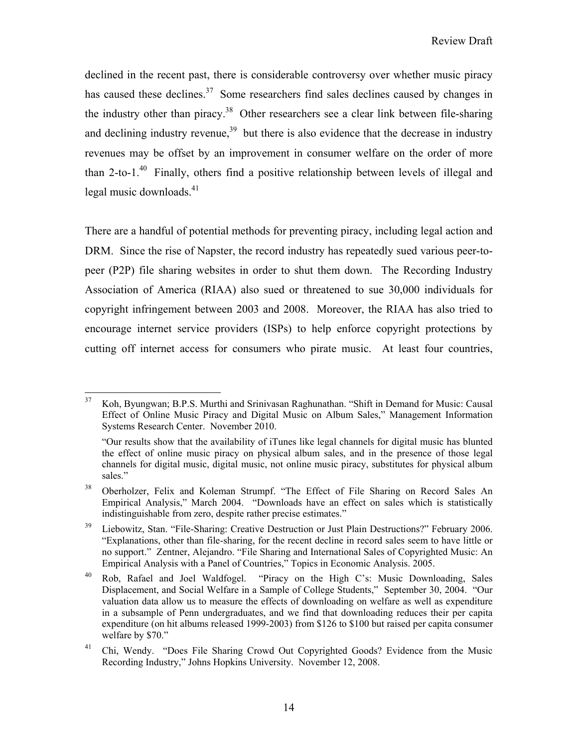declined in the recent past, there is considerable controversy over whether music piracy has caused these declines.<sup>37</sup> Some researchers find sales declines caused by changes in the industry other than piracy.<sup>38</sup> Other researchers see a clear link between file-sharing and declining industry revenue,  $39$  but there is also evidence that the decrease in industry revenues may be offset by an improvement in consumer welfare on the order of more than 2-to-1. $^{40}$  Finally, others find a positive relationship between levels of illegal and legal music downloads. $41$ 

There are a handful of potential methods for preventing piracy, including legal action and DRM. Since the rise of Napster, the record industry has repeatedly sued various peer-topeer (P2P) file sharing websites in order to shut them down. The Recording Industry Association of America (RIAA) also sued or threatened to sue 30,000 individuals for copyright infringement between 2003 and 2008. Moreover, the RIAA has also tried to encourage internet service providers (ISPs) to help enforce copyright protections by cutting off internet access for consumers who pirate music. At least four countries,

<sup>37</sup> 37 Koh, Byungwan; B.P.S. Murthi and Srinivasan Raghunathan. "Shift in Demand for Music: Causal Effect of Online Music Piracy and Digital Music on Album Sales," Management Information Systems Research Center. November 2010.

 <sup>&</sup>quot;Our results show that the availability of iTunes like legal channels for digital music has blunted the effect of online music piracy on physical album sales, and in the presence of those legal channels for digital music, digital music, not online music piracy, substitutes for physical album sales."

<sup>&</sup>lt;sup>38</sup> Oberholzer, Felix and Koleman Strumpf. "The Effect of File Sharing on Record Sales An Empirical Analysis," March 2004. "Downloads have an effect on sales which is statistically indistinguishable from zero, despite rather precise estimates."

<sup>&</sup>lt;sup>39</sup> Liebowitz, Stan. "File-Sharing: Creative Destruction or Just Plain Destructions?" February 2006. "Explanations, other than file-sharing, for the recent decline in record sales seem to have little or no support." Zentner, Alejandro. "File Sharing and International Sales of Copyrighted Music: An Empirical Analysis with a Panel of Countries," Topics in Economic Analysis. 2005.

<sup>40</sup> Rob, Rafael and Joel Waldfogel. "Piracy on the High C's: Music Downloading, Sales Displacement, and Social Welfare in a Sample of College Students," September 30, 2004. "Our valuation data allow us to measure the effects of downloading on welfare as well as expenditure in a subsample of Penn undergraduates, and we find that downloading reduces their per capita expenditure (on hit albums released 1999-2003) from \$126 to \$100 but raised per capita consumer welfare by \$70."

<sup>&</sup>lt;sup>41</sup> Chi, Wendy. "Does File Sharing Crowd Out Copyrighted Goods? Evidence from the Music Recording Industry," Johns Hopkins University. November 12, 2008.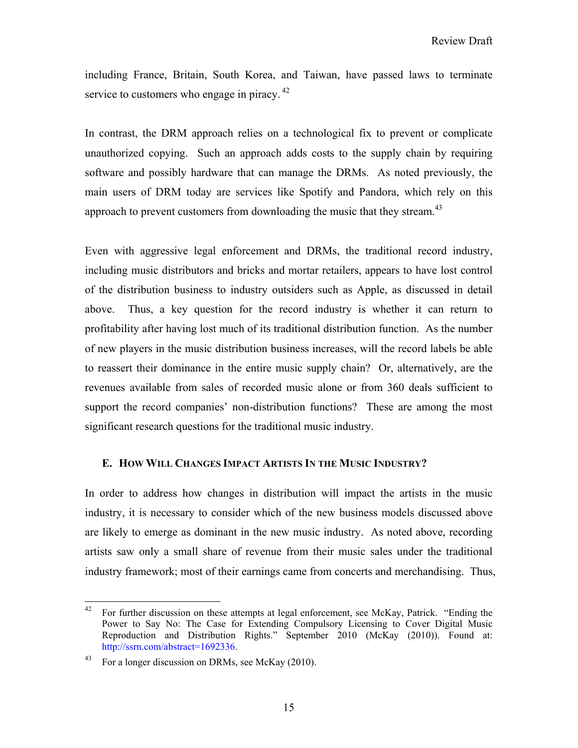including France, Britain, South Korea, and Taiwan, have passed laws to terminate service to customers who engage in piracy.<sup>42</sup>

In contrast, the DRM approach relies on a technological fix to prevent or complicate unauthorized copying. Such an approach adds costs to the supply chain by requiring software and possibly hardware that can manage the DRMs. As noted previously, the main users of DRM today are services like Spotify and Pandora, which rely on this approach to prevent customers from downloading the music that they stream.<sup>43</sup>

Even with aggressive legal enforcement and DRMs, the traditional record industry, including music distributors and bricks and mortar retailers, appears to have lost control of the distribution business to industry outsiders such as Apple, as discussed in detail above. Thus, a key question for the record industry is whether it can return to profitability after having lost much of its traditional distribution function. As the number of new players in the music distribution business increases, will the record labels be able to reassert their dominance in the entire music supply chain? Or, alternatively, are the revenues available from sales of recorded music alone or from 360 deals sufficient to support the record companies' non-distribution functions? These are among the most significant research questions for the traditional music industry.

## **E. HOW WILL CHANGES IMPACT ARTISTS IN THE MUSIC INDUSTRY?**

In order to address how changes in distribution will impact the artists in the music industry, it is necessary to consider which of the new business models discussed above are likely to emerge as dominant in the new music industry. As noted above, recording artists saw only a small share of revenue from their music sales under the traditional industry framework; most of their earnings came from concerts and merchandising. Thus,

<sup>42</sup> 42 For further discussion on these attempts at legal enforcement, see McKay, Patrick. "Ending the Power to Say No: The Case for Extending Compulsory Licensing to Cover Digital Music Reproduction and Distribution Rights." September 2010 (McKay (2010)). Found at: http://ssrn.com/abstract=1692336.

<sup>&</sup>lt;sup>43</sup> For a longer discussion on DRMs, see McKay (2010).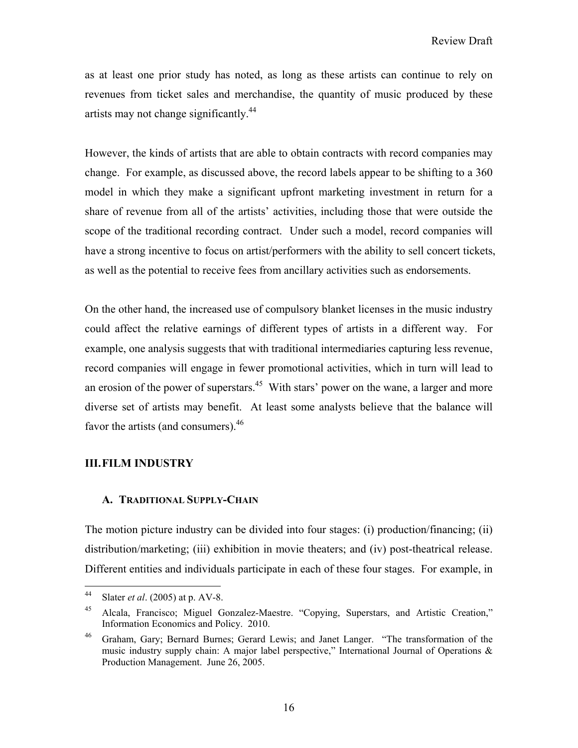as at least one prior study has noted, as long as these artists can continue to rely on revenues from ticket sales and merchandise, the quantity of music produced by these artists may not change significantly.<sup>44</sup>

However, the kinds of artists that are able to obtain contracts with record companies may change. For example, as discussed above, the record labels appear to be shifting to a 360 model in which they make a significant upfront marketing investment in return for a share of revenue from all of the artists' activities, including those that were outside the scope of the traditional recording contract. Under such a model, record companies will have a strong incentive to focus on artist/performers with the ability to sell concert tickets, as well as the potential to receive fees from ancillary activities such as endorsements.

On the other hand, the increased use of compulsory blanket licenses in the music industry could affect the relative earnings of different types of artists in a different way. For example, one analysis suggests that with traditional intermediaries capturing less revenue, record companies will engage in fewer promotional activities, which in turn will lead to an erosion of the power of superstars.<sup>45</sup> With stars' power on the wane, a larger and more diverse set of artists may benefit. At least some analysts believe that the balance will favor the artists (and consumers). $46$ 

## **III.FILM INDUSTRY**

#### **A. TRADITIONAL SUPPLY-CHAIN**

The motion picture industry can be divided into four stages: (i) production/financing; (ii) distribution/marketing; (iii) exhibition in movie theaters; and (iv) post-theatrical release. Different entities and individuals participate in each of these four stages. For example, in

 $44$ Slater *et al.* (2005) at p. AV-8.

<sup>45</sup> Alcala, Francisco; Miguel Gonzalez-Maestre. "Copying, Superstars, and Artistic Creation," Information Economics and Policy. 2010.

<sup>&</sup>lt;sup>46</sup> Graham, Gary; Bernard Burnes; Gerard Lewis; and Janet Langer. "The transformation of the music industry supply chain: A major label perspective," International Journal of Operations  $\&$ Production Management. June 26, 2005.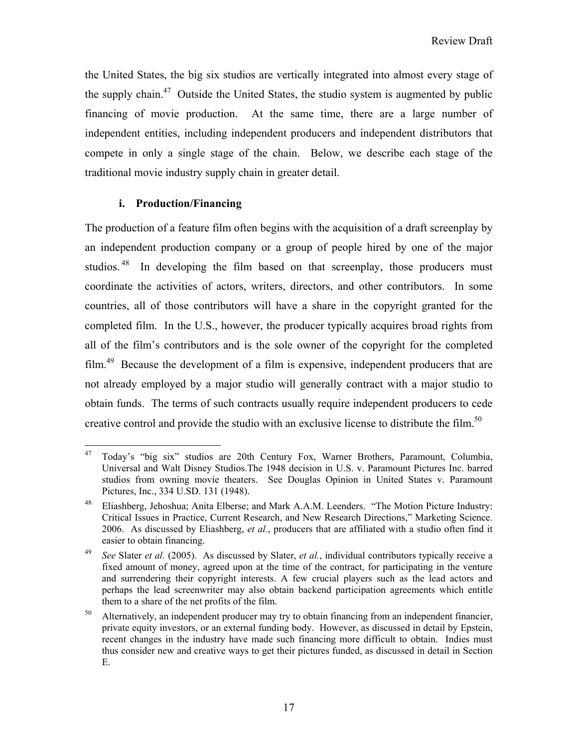the United States, the big six studios are vertically integrated into almost every stage of the supply chain.<sup>47</sup> Outside the United States, the studio system is augmented by public financing of movie production. At the same time, there are a large number of independent entities, including independent producers and independent distributors that compete in only a single stage of the chain. Below, we describe each stage of the traditional movie industry supply chain in greater detail.

# **i. Production/Financing**

The production of a feature film often begins with the acquisition of a draft screenplay by an independent production company or a group of people hired by one of the major studios.<sup>48</sup> In developing the film based on that screenplay, those producers must coordinate the activities of actors, writers, directors, and other contributors. In some countries, all of those contributors will have a share in the copyright granted for the completed film. In the U.S., however, the producer typically acquires broad rights from all of the film's contributors and is the sole owner of the copyright for the completed film.49 Because the development of a film is expensive, independent producers that are not already employed by a major studio will generally contract with a major studio to obtain funds. The terms of such contracts usually require independent producers to cede creative control and provide the studio with an exclusive license to distribute the film.<sup>50</sup>

<sup>47</sup> 47 Today's "big six" studios are 20th Century Fox, Warner Brothers, Paramount, Columbia, Universal and Walt Disney Studios.The 1948 decision in U.S. v. Paramount Pictures Inc. barred studios from owning movie theaters. See Douglas Opinion in United States v. Paramount Pictures, Inc., 334 U.SD. 131 (1948).

<sup>48</sup> Eliashberg, Jehoshua; Anita Elberse; and Mark A.A.M. Leenders. "The Motion Picture Industry: Critical Issues in Practice, Current Research, and New Research Directions," Marketing Science. 2006. As discussed by Eliashberg, *et al.*, producers that are affiliated with a studio often find it easier to obtain financing.

<sup>49</sup> *See* Slater *et al.* (2005). As discussed by Slater, *et al.*, individual contributors typically receive a fixed amount of money, agreed upon at the time of the contract, for participating in the venture and surrendering their copyright interests. A few crucial players such as the lead actors and perhaps the lead screenwriter may also obtain backend participation agreements which entitle them to a share of the net profits of the film.

<sup>&</sup>lt;sup>50</sup> Alternatively, an independent producer may try to obtain financing from an independent financier, private equity investors, or an external funding body. However, as discussed in detail by Epstein, recent changes in the industry have made such financing more difficult to obtain. Indies must thus consider new and creative ways to get their pictures funded, as discussed in detail in Section E.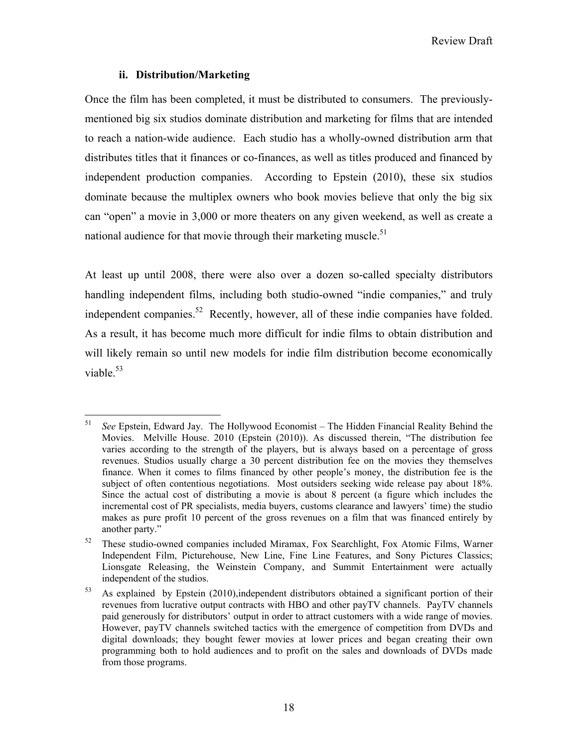## **ii. Distribution/Marketing**

Once the film has been completed, it must be distributed to consumers. The previouslymentioned big six studios dominate distribution and marketing for films that are intended to reach a nation-wide audience. Each studio has a wholly-owned distribution arm that distributes titles that it finances or co-finances, as well as titles produced and financed by independent production companies. According to Epstein (2010), these six studios dominate because the multiplex owners who book movies believe that only the big six can "open" a movie in 3,000 or more theaters on any given weekend, as well as create a national audience for that movie through their marketing muscle.<sup>51</sup>

At least up until 2008, there were also over a dozen so-called specialty distributors handling independent films, including both studio-owned "indie companies," and truly independent companies.<sup>52</sup> Recently, however, all of these indie companies have folded. As a result, it has become much more difficult for indie films to obtain distribution and will likely remain so until new models for indie film distribution become economically viable. $53$ 

<sup>51</sup> 51 *See* Epstein, Edward Jay. The Hollywood Economist – The Hidden Financial Reality Behind the Movies. Melville House. 2010 (Epstein (2010)). As discussed therein, "The distribution fee varies according to the strength of the players, but is always based on a percentage of gross revenues. Studios usually charge a 30 percent distribution fee on the movies they themselves finance. When it comes to films financed by other people's money, the distribution fee is the subject of often contentious negotiations. Most outsiders seeking wide release pay about 18%. Since the actual cost of distributing a movie is about 8 percent (a figure which includes the incremental cost of PR specialists, media buyers, customs clearance and lawyers' time) the studio makes as pure profit 10 percent of the gross revenues on a film that was financed entirely by another party."

<sup>52</sup> These studio-owned companies included Miramax, Fox Searchlight, Fox Atomic Films, Warner Independent Film, Picturehouse, New Line, Fine Line Features, and Sony Pictures Classics; Lionsgate Releasing, the Weinstein Company, and Summit Entertainment were actually independent of the studios.

 $53$  As explained by Epstein (2010), independent distributors obtained a significant portion of their revenues from lucrative output contracts with HBO and other payTV channels. PayTV channels paid generously for distributors' output in order to attract customers with a wide range of movies. However, payTV channels switched tactics with the emergence of competition from DVDs and digital downloads; they bought fewer movies at lower prices and began creating their own programming both to hold audiences and to profit on the sales and downloads of DVDs made from those programs.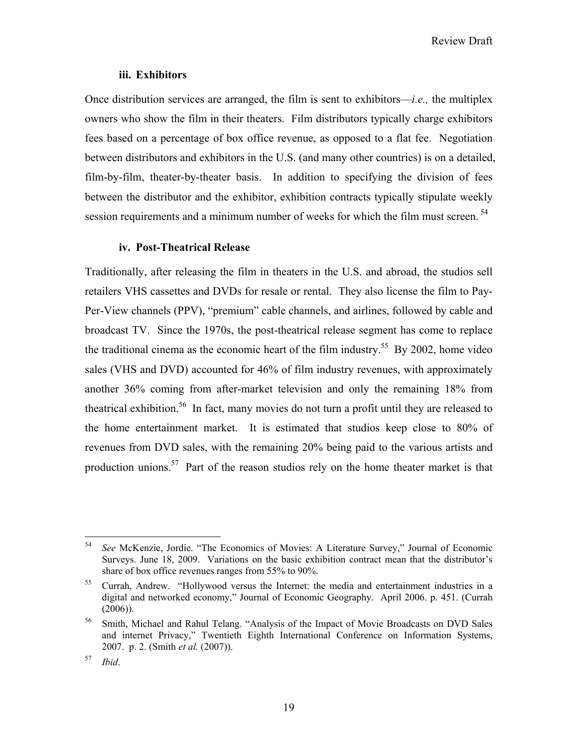#### **iii. Exhibitors**

Once distribution services are arranged, the film is sent to exhibitors—*i.e.,* the multiplex owners who show the film in their theaters. Film distributors typically charge exhibitors fees based on a percentage of box office revenue, as opposed to a flat fee. Negotiation between distributors and exhibitors in the U.S. (and many other countries) is on a detailed, film-by-film, theater-by-theater basis. In addition to specifying the division of fees between the distributor and the exhibitor, exhibition contracts typically stipulate weekly session requirements and a minimum number of weeks for which the film must screen.<sup>54</sup>

#### **iv. Post-Theatrical Release**

Traditionally, after releasing the film in theaters in the U.S. and abroad, the studios sell retailers VHS cassettes and DVDs for resale or rental. They also license the film to Pay-Per-View channels (PPV), "premium" cable channels, and airlines, followed by cable and broadcast TV. Since the 1970s, the post-theatrical release segment has come to replace the traditional cinema as the economic heart of the film industry.<sup>55</sup> By 2002, home video sales (VHS and DVD) accounted for 46% of film industry revenues, with approximately another 36% coming from after-market television and only the remaining 18% from theatrical exhibition.<sup>56</sup> In fact, many movies do not turn a profit until they are released to the home entertainment market. It is estimated that studios keep close to 80% of revenues from DVD sales, with the remaining 20% being paid to the various artists and production unions.<sup>57</sup> Part of the reason studios rely on the home theater market is that

<sup>54</sup> 54 *See* McKenzie, Jordie. "The Economics of Movies: A Literature Survey," Journal of Economic Surveys. June 18, 2009. Variations on the basic exhibition contract mean that the distributor's share of box office revenues ranges from 55% to 90%.

<sup>&</sup>lt;sup>55</sup> Currah, Andrew. "Hollywood versus the Internet: the media and entertainment industries in a digital and networked economy," Journal of Economic Geography. April 2006. p. 451. (Currah (2006)).

<sup>&</sup>lt;sup>56</sup> Smith, Michael and Rahul Telang. "Analysis of the Impact of Movie Broadcasts on DVD Sales and internet Privacy," Twentieth Eighth International Conference on Information Systems, 2007. p. 2. (Smith *et al.* (2007)).

<sup>57</sup> *Ibid*.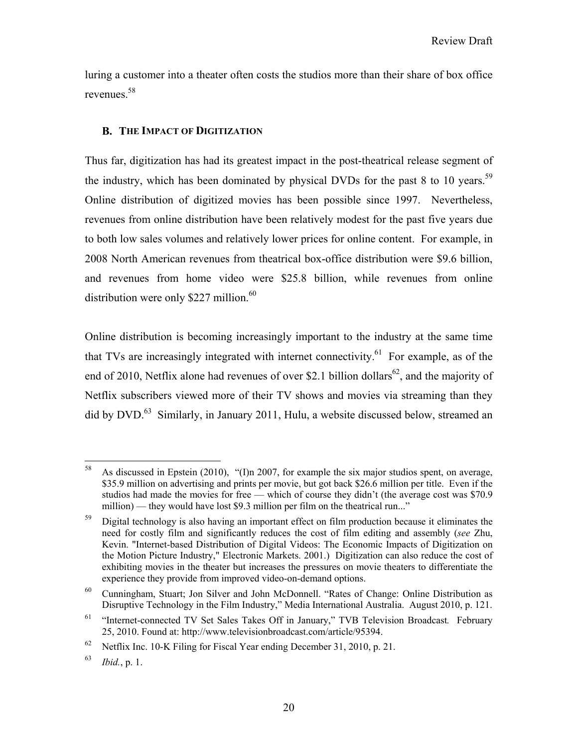luring a customer into a theater often costs the studios more than their share of box office revenues.58

## **B. THE IMPACT OF DIGITIZATION**

Thus far, digitization has had its greatest impact in the post-theatrical release segment of the industry, which has been dominated by physical DVDs for the past 8 to 10 years.<sup>59</sup> Online distribution of digitized movies has been possible since 1997. Nevertheless, revenues from online distribution have been relatively modest for the past five years due to both low sales volumes and relatively lower prices for online content. For example, in 2008 North American revenues from theatrical box-office distribution were \$9.6 billion, and revenues from home video were \$25.8 billion, while revenues from online distribution were only  $$227$  million.<sup>60</sup>

Online distribution is becoming increasingly important to the industry at the same time that TVs are increasingly integrated with internet connectivity.<sup> $61$ </sup> For example, as of the end of 2010, Netflix alone had revenues of over \$2.1 billion dollars<sup>62</sup>, and the majority of Netflix subscribers viewed more of their TV shows and movies via streaming than they did by DVD.<sup>63</sup> Similarly, in January 2011, Hulu, a website discussed below, streamed an

<sup>58</sup> 58 As discussed in Epstein (2010), "(I)n 2007, for example the six major studios spent, on average, \$35.9 million on advertising and prints per movie, but got back \$26.6 million per title. Even if the studios had made the movies for free — which of course they didn't (the average cost was \$70.9 million) — they would have lost \$9.3 million per film on the theatrical run..."

<sup>&</sup>lt;sup>59</sup> Digital technology is also having an important effect on film production because it eliminates the need for costly film and significantly reduces the cost of film editing and assembly (*see* Zhu, Kevin. "Internet-based Distribution of Digital Videos: The Economic Impacts of Digitization on the Motion Picture Industry," Electronic Markets. 2001.) Digitization can also reduce the cost of exhibiting movies in the theater but increases the pressures on movie theaters to differentiate the experience they provide from improved video-on-demand options.

<sup>60</sup> Cunningham, Stuart; Jon Silver and John McDonnell. "Rates of Change: Online Distribution as Disruptive Technology in the Film Industry," Media International Australia. August 2010, p. 121.

<sup>61 &</sup>quot;Internet-connected TV Set Sales Takes Off in January," TVB Television Broadcast*.* February 25, 2010. Found at: http://www.televisionbroadcast.com/article/95394.

<sup>&</sup>lt;sup>62</sup> Netflix Inc. 10-K Filing for Fiscal Year ending December 31, 2010, p. 21.

<sup>63</sup> *Ibid.*, p. 1.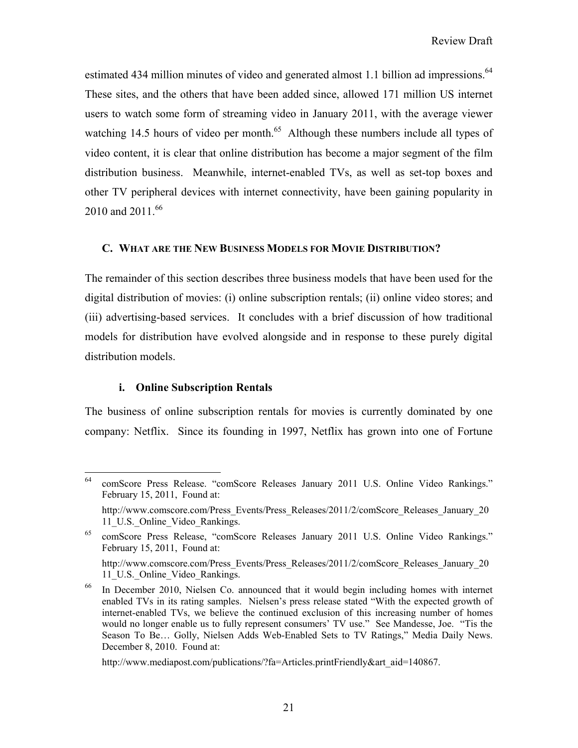estimated 434 million minutes of video and generated almost 1.1 billion ad impressions.<sup>64</sup> These sites, and the others that have been added since, allowed 171 million US internet users to watch some form of streaming video in January 2011, with the average viewer watching 14.5 hours of video per month.<sup>65</sup> Although these numbers include all types of video content, it is clear that online distribution has become a major segment of the film distribution business. Meanwhile, internet-enabled TVs, as well as set-top boxes and other TV peripheral devices with internet connectivity, have been gaining popularity in 2010 and 2011.<sup>66</sup>

## **C. WHAT ARE THE NEW BUSINESS MODELS FOR MOVIE DISTRIBUTION?**

The remainder of this section describes three business models that have been used for the digital distribution of movies: (i) online subscription rentals; (ii) online video stores; and (iii) advertising-based services. It concludes with a brief discussion of how traditional models for distribution have evolved alongside and in response to these purely digital distribution models.

## **i. Online Subscription Rentals**

The business of online subscription rentals for movies is currently dominated by one company: Netflix. Since its founding in 1997, Netflix has grown into one of Fortune

 $\overline{a}$ 64 comScore Press Release. "comScore Releases January 2011 U.S. Online Video Rankings." February 15, 2011, Found at:

http://www.comscore.com/Press\_Events/Press\_Releases/2011/2/comScore\_Releases\_January\_20 11 U.S. Online Video Rankings.

comScore Press Release, "comScore Releases January 2011 U.S. Online Video Rankings." February 15, 2011, Found at:

http://www.comscore.com/Press\_Events/Press\_Releases/2011/2/comScore\_Releases\_January\_20 11 U.S. Online Video Rankings.

<sup>66</sup> In December 2010, Nielsen Co. announced that it would begin including homes with internet enabled TVs in its rating samples. Nielsen's press release stated "With the expected growth of internet-enabled TVs, we believe the continued exclusion of this increasing number of homes would no longer enable us to fully represent consumers' TV use." See Mandesse, Joe. "Tis the Season To Be… Golly, Nielsen Adds Web-Enabled Sets to TV Ratings," Media Daily News. December 8, 2010. Found at:

http://www.mediapost.com/publications/?fa=Articles.printFriendly&art\_aid=140867.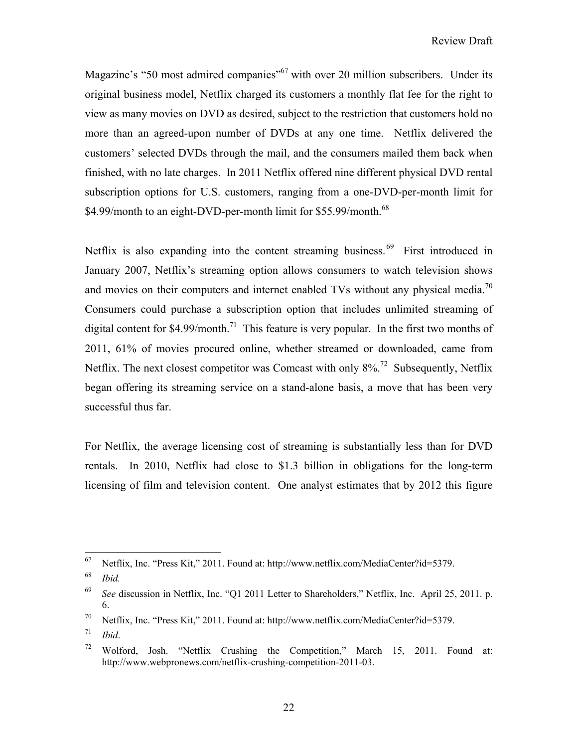Magazine's "50 most admired companies"<sup>67</sup> with over 20 million subscribers. Under its original business model, Netflix charged its customers a monthly flat fee for the right to view as many movies on DVD as desired, subject to the restriction that customers hold no more than an agreed-upon number of DVDs at any one time. Netflix delivered the customers' selected DVDs through the mail, and the consumers mailed them back when finished, with no late charges. In 2011 Netflix offered nine different physical DVD rental subscription options for U.S. customers, ranging from a one-DVD-per-month limit for \$4.99/month to an eight-DVD-per-month limit for \$55.99/month.<sup>68</sup>

Netflix is also expanding into the content streaming business.<sup>69</sup> First introduced in January 2007, Netflix's streaming option allows consumers to watch television shows and movies on their computers and internet enabled TVs without any physical media.<sup>70</sup> Consumers could purchase a subscription option that includes unlimited streaming of digital content for  $$4.99/m$ onth.<sup>71</sup> This feature is very popular. In the first two months of 2011, 61% of movies procured online, whether streamed or downloaded, came from Netflix. The next closest competitor was Comcast with only  $8\%$ <sup>72</sup> Subsequently, Netflix began offering its streaming service on a stand-alone basis, a move that has been very successful thus far.

For Netflix, the average licensing cost of streaming is substantially less than for DVD rentals. In 2010, Netflix had close to \$1.3 billion in obligations for the long-term licensing of film and television content. One analyst estimates that by 2012 this figure

<sup>67</sup> 67 Netflix, Inc. "Press Kit," 2011. Found at: http://www.netflix.com/MediaCenter?id=5379.

<sup>68</sup> *Ibid.*

<sup>69</sup> *See* discussion in Netflix, Inc. "Q1 2011 Letter to Shareholders," Netflix, Inc. April 25, 2011. p. 6.

<sup>70</sup> Netflix, Inc. "Press Kit," 2011. Found at: http://www.netflix.com/MediaCenter?id=5379.

<sup>71</sup> *Ibid*.

<sup>72</sup> Wolford, Josh. "Netflix Crushing the Competition," March 15, 2011. Found at: http://www.webpronews.com/netflix-crushing-competition-2011-03.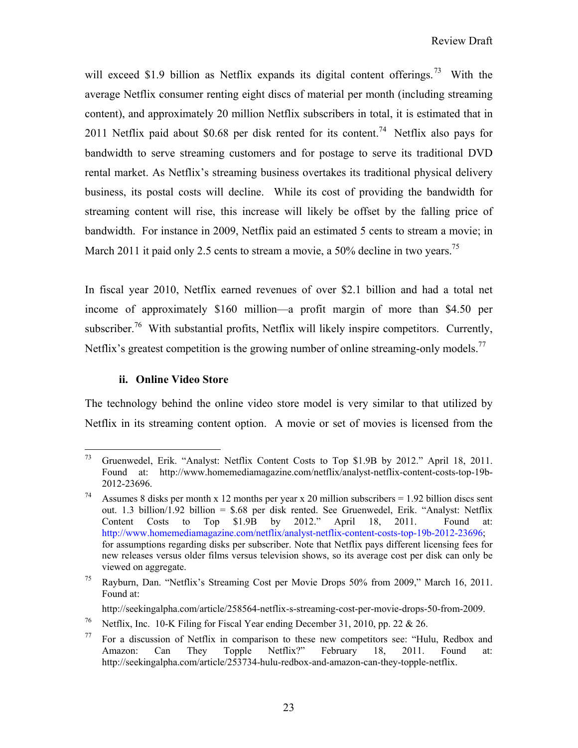will exceed \$1.9 billion as Netflix expands its digital content offerings.<sup>73</sup> With the average Netflix consumer renting eight discs of material per month (including streaming content), and approximately 20 million Netflix subscribers in total, it is estimated that in 2011 Netflix paid about \$0.68 per disk rented for its content.<sup>74</sup> Netflix also pays for bandwidth to serve streaming customers and for postage to serve its traditional DVD rental market. As Netflix's streaming business overtakes its traditional physical delivery business, its postal costs will decline. While its cost of providing the bandwidth for streaming content will rise, this increase will likely be offset by the falling price of bandwidth. For instance in 2009, Netflix paid an estimated 5 cents to stream a movie; in March 2011 it paid only 2.5 cents to stream a movie, a 50% decline in two years.<sup>75</sup>

In fiscal year 2010, Netflix earned revenues of over \$2.1 billion and had a total net income of approximately \$160 million—a profit margin of more than \$4.50 per subscriber.<sup>76</sup> With substantial profits, Netflix will likely inspire competitors. Currently, Netflix's greatest competition is the growing number of online streaming-only models.<sup>77</sup>

# **ii. Online Video Store**

The technology behind the online video store model is very similar to that utilized by Netflix in its streaming content option. A movie or set of movies is licensed from the

<sup>73</sup> 73 Gruenwedel, Erik. "Analyst: Netflix Content Costs to Top \$1.9B by 2012." April 18, 2011. Found at: http://www.homemediamagazine.com/netflix/analyst-netflix-content-costs-top-19b-2012-23696.

<sup>&</sup>lt;sup>74</sup> Assumes 8 disks per month x 12 months per year x 20 million subscribers = 1.92 billion discs sent out. 1.3 billion/1.92 billion = \$.68 per disk rented. See Gruenwedel, Erik. "Analyst: Netflix Content Costs to Top \$1.9B by 2012." April 18, 2011. Found at: http://www.homemediamagazine.com/netflix/analyst-netflix-content-costs-top-19b-2012-23696; for assumptions regarding disks per subscriber. Note that Netflix pays different licensing fees for new releases versus older films versus television shows, so its average cost per disk can only be viewed on aggregate.

<sup>75</sup> Rayburn, Dan. "Netflix's Streaming Cost per Movie Drops 50% from 2009," March 16, 2011. Found at:

http://seekingalpha.com/article/258564-netflix-s-streaming-cost-per-movie-drops-50-from-2009.

<sup>&</sup>lt;sup>76</sup> Netflix, Inc. 10-K Filing for Fiscal Year ending December 31, 2010, pp. 22 & 26.

 $77$  For a discussion of Netflix in comparison to these new competitors see: "Hulu, Redbox and Amazon: Can They Topple Netflix?" February 18, 2011. Found at: http://seekingalpha.com/article/253734-hulu-redbox-and-amazon-can-they-topple-netflix.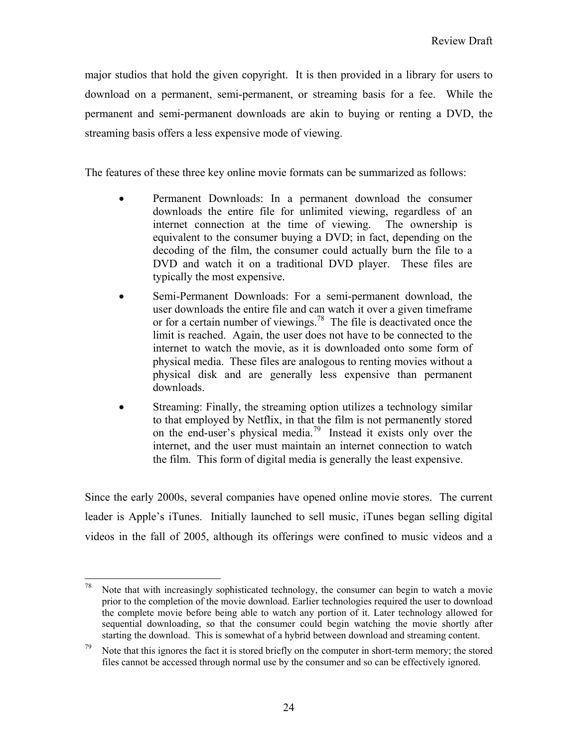major studios that hold the given copyright. It is then provided in a library for users to download on a permanent, semi-permanent, or streaming basis for a fee. While the permanent and semi-permanent downloads are akin to buying or renting a DVD, the streaming basis offers a less expensive mode of viewing.

The features of these three key online movie formats can be summarized as follows:

- Permanent Downloads: In a permanent download the consumer downloads the entire file for unlimited viewing, regardless of an internet connection at the time of viewing. The ownership is equivalent to the consumer buying a DVD; in fact, depending on the decoding of the film, the consumer could actually burn the file to a DVD and watch it on a traditional DVD player. These files are typically the most expensive.
- Semi-Permanent Downloads: For a semi-permanent download, the user downloads the entire file and can watch it over a given timeframe or for a certain number of viewings.78 The file is deactivated once the limit is reached. Again, the user does not have to be connected to the internet to watch the movie, as it is downloaded onto some form of physical media. These files are analogous to renting movies without a physical disk and are generally less expensive than permanent downloads.
- Streaming: Finally, the streaming option utilizes a technology similar to that employed by Netflix, in that the film is not permanently stored on the end-user's physical media.79 Instead it exists only over the internet, and the user must maintain an internet connection to watch the film. This form of digital media is generally the least expensive.

Since the early 2000s, several companies have opened online movie stores. The current leader is Apple's iTunes. Initially launched to sell music, iTunes began selling digital videos in the fall of 2005, although its offerings were confined to music videos and a

 $78\,$ Note that with increasingly sophisticated technology, the consumer can begin to watch a movie prior to the completion of the movie download. Earlier technologies required the user to download the complete movie before being able to watch any portion of it. Later technology allowed for sequential downloading, so that the consumer could begin watching the movie shortly after starting the download. This is somewhat of a hybrid between download and streaming content.

<sup>&</sup>lt;sup>79</sup> Note that this ignores the fact it is stored briefly on the computer in short-term memory; the stored files cannot be accessed through normal use by the consumer and so can be effectively ignored.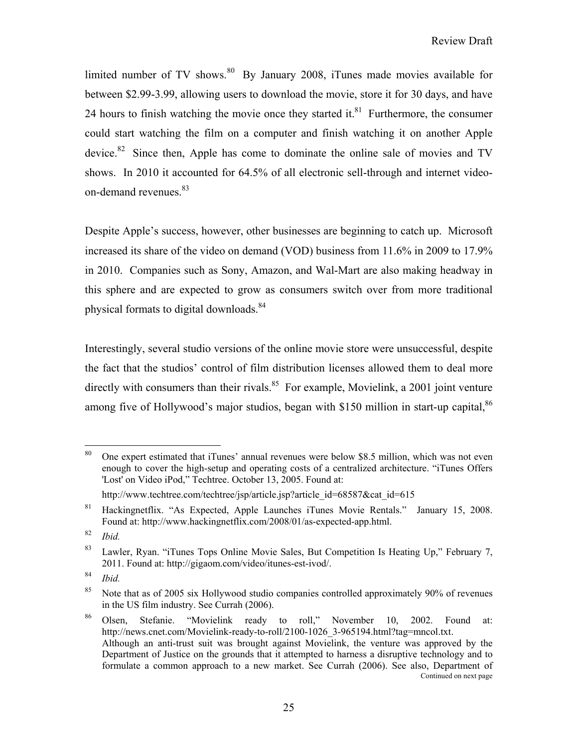limited number of TV shows. $80\,$  By January 2008, iTunes made movies available for between \$2.99-3.99, allowing users to download the movie, store it for 30 days, and have 24 hours to finish watching the movie once they started it. $81$  Furthermore, the consumer could start watching the film on a computer and finish watching it on another Apple device.<sup>82</sup> Since then, Apple has come to dominate the online sale of movies and TV shows. In 2010 it accounted for 64.5% of all electronic sell-through and internet videoon-demand revenues.<sup>83</sup>

Despite Apple's success, however, other businesses are beginning to catch up. Microsoft increased its share of the video on demand (VOD) business from 11.6% in 2009 to 17.9% in 2010. Companies such as Sony, Amazon, and Wal-Mart are also making headway in this sphere and are expected to grow as consumers switch over from more traditional physical formats to digital downloads.<sup>84</sup>

Interestingly, several studio versions of the online movie store were unsuccessful, despite the fact that the studios' control of film distribution licenses allowed them to deal more directly with consumers than their rivals.<sup>85</sup> For example, Movielink, a 2001 joint venture among five of Hollywood's major studios, began with \$150 million in start-up capital,  $86$ 

 $80^{\degree}$ 80 One expert estimated that iTunes' annual revenues were below \$8.5 million, which was not even enough to cover the high-setup and operating costs of a centralized architecture. "iTunes Offers 'Lost' on Video iPod," Techtree. October 13, 2005. Found at:

http://www.techtree.com/techtree/jsp/article.jsp?article\_id=68587&cat\_id=615

<sup>81</sup> Hackingnetflix. "As Expected, Apple Launches iTunes Movie Rentals." January 15, 2008. Found at: http://www.hackingnetflix.com/2008/01/as-expected-app.html.

<sup>82</sup> *Ibid.*

<sup>&</sup>lt;sup>83</sup> Lawler, Ryan. "iTunes Tops Online Movie Sales, But Competition Is Heating Up," February 7, 2011. Found at: http://gigaom.com/video/itunes-est-ivod/.

<sup>84</sup> *Ibid.*

<sup>&</sup>lt;sup>85</sup> Note that as of 2005 six Hollywood studio companies controlled approximately 90% of revenues in the US film industry. See Currah (2006).

<sup>86</sup> Olsen, Stefanie. "Movielink ready to roll," November 10, 2002. Found at: http://news.cnet.com/Movielink-ready-to-roll/2100-1026 3-965194.html?tag=mncol.txt. Although an anti-trust suit was brought against Movielink, the venture was approved by the Department of Justice on the grounds that it attempted to harness a disruptive technology and to formulate a common approach to a new market. See Currah (2006). See also, Department of Continued on next page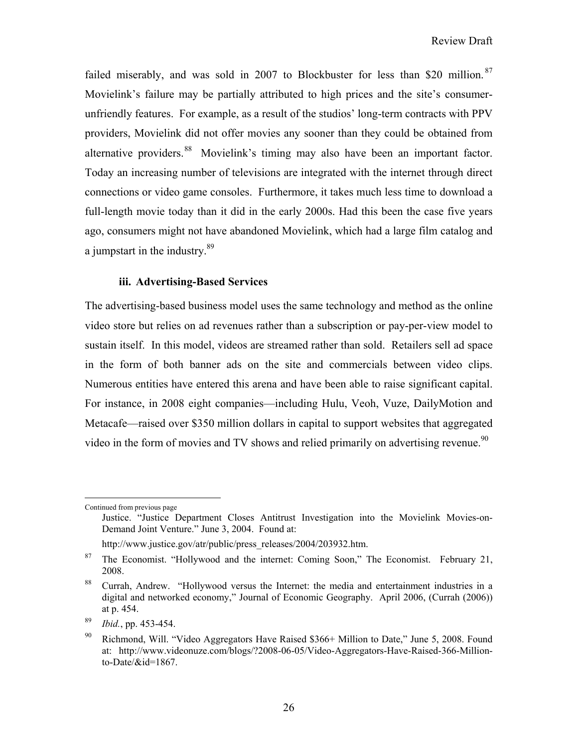failed miserably, and was sold in 2007 to Blockbuster for less than \$20 million.<sup>87</sup> Movielink's failure may be partially attributed to high prices and the site's consumerunfriendly features. For example, as a result of the studios' long-term contracts with PPV providers, Movielink did not offer movies any sooner than they could be obtained from alternative providers.<sup>88</sup> Movielink's timing may also have been an important factor. Today an increasing number of televisions are integrated with the internet through direct connections or video game consoles. Furthermore, it takes much less time to download a full-length movie today than it did in the early 2000s. Had this been the case five years ago, consumers might not have abandoned Movielink, which had a large film catalog and a jumpstart in the industry. $89$ 

#### **iii. Advertising-Based Services**

The advertising-based business model uses the same technology and method as the online video store but relies on ad revenues rather than a subscription or pay-per-view model to sustain itself. In this model, videos are streamed rather than sold. Retailers sell ad space in the form of both banner ads on the site and commercials between video clips. Numerous entities have entered this arena and have been able to raise significant capital. For instance, in 2008 eight companies—including Hulu, Veoh, Vuze, DailyMotion and Metacafe—raised over \$350 million dollars in capital to support websites that aggregated video in the form of movies and TV shows and relied primarily on advertising revenue.<sup>90</sup>

1

Continued from previous page

Justice. "Justice Department Closes Antitrust Investigation into the Movielink Movies-on-Demand Joint Venture." June 3, 2004. Found at:

http://www.justice.gov/atr/public/press\_releases/2004/203932.htm.

<sup>&</sup>lt;sup>87</sup> The Economist. "Hollywood and the internet: Coming Soon," The Economist. February 21, 2008.

<sup>88</sup> Currah, Andrew. "Hollywood versus the Internet: the media and entertainment industries in a digital and networked economy," Journal of Economic Geography. April 2006, (Currah (2006)) at p. 454.

<sup>89</sup> *Ibid.*, pp. 453-454.

<sup>&</sup>lt;sup>90</sup> Richmond, Will. "Video Aggregators Have Raised \$366+ Million to Date," June 5, 2008. Found at: http://www.videonuze.com/blogs/?2008-06-05/Video-Aggregators-Have-Raised-366-Millionto-Date/&id=1867.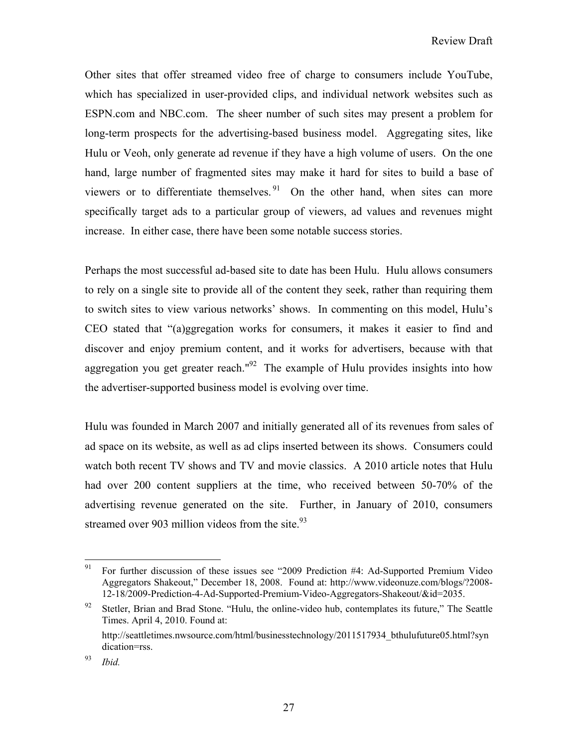Other sites that offer streamed video free of charge to consumers include YouTube, which has specialized in user-provided clips, and individual network websites such as ESPN.com and NBC.com. The sheer number of such sites may present a problem for long-term prospects for the advertising-based business model. Aggregating sites, like Hulu or Veoh, only generate ad revenue if they have a high volume of users. On the one hand, large number of fragmented sites may make it hard for sites to build a base of viewers or to differentiate themselves.<sup>91</sup> On the other hand, when sites can more specifically target ads to a particular group of viewers, ad values and revenues might increase. In either case, there have been some notable success stories.

Perhaps the most successful ad-based site to date has been Hulu. Hulu allows consumers to rely on a single site to provide all of the content they seek, rather than requiring them to switch sites to view various networks' shows. In commenting on this model, Hulu's CEO stated that "(a)ggregation works for consumers, it makes it easier to find and discover and enjoy premium content, and it works for advertisers, because with that aggregation you get greater reach."92 The example of Hulu provides insights into how the advertiser-supported business model is evolving over time.

Hulu was founded in March 2007 and initially generated all of its revenues from sales of ad space on its website, as well as ad clips inserted between its shows. Consumers could watch both recent TV shows and TV and movie classics. A 2010 article notes that Hulu had over 200 content suppliers at the time, who received between 50-70% of the advertising revenue generated on the site. Further, in January of 2010, consumers streamed over 903 million videos from the site. $93$ 

<sup>91</sup> 91 For further discussion of these issues see "2009 Prediction #4: Ad-Supported Premium Video Aggregators Shakeout," December 18, 2008. Found at: http://www.videonuze.com/blogs/?2008- 12-18/2009-Prediction-4-Ad-Supported-Premium-Video-Aggregators-Shakeout/&id=2035.

<sup>&</sup>lt;sup>92</sup> Stetler, Brian and Brad Stone. "Hulu, the online-video hub, contemplates its future," The Seattle Times. April 4, 2010. Found at:

http://seattletimes.nwsource.com/html/businesstechnology/2011517934\_bthulufuture05.html?syn dication=rss.

<sup>93</sup> *Ibid.*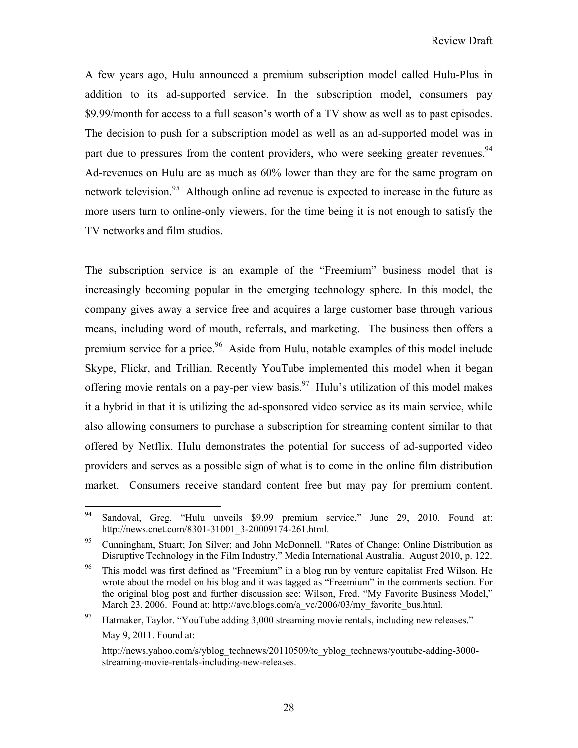A few years ago, Hulu announced a premium subscription model called Hulu-Plus in addition to its ad-supported service. In the subscription model, consumers pay \$9.99/month for access to a full season's worth of a TV show as well as to past episodes. The decision to push for a subscription model as well as an ad-supported model was in part due to pressures from the content providers, who were seeking greater revenues.<sup>94</sup> Ad-revenues on Hulu are as much as 60% lower than they are for the same program on network television.<sup>95</sup> Although online ad revenue is expected to increase in the future as more users turn to online-only viewers, for the time being it is not enough to satisfy the TV networks and film studios.

The subscription service is an example of the "Freemium" business model that is increasingly becoming popular in the emerging technology sphere. In this model, the company gives away a service free and acquires a large customer base through various means, including word of mouth, referrals, and marketing. The business then offers a premium service for a price.<sup>96</sup> Aside from Hulu, notable examples of this model include Skype, Flickr, and Trillian. Recently YouTube implemented this model when it began offering movie rentals on a pay-per view basis.<sup>97</sup> Hulu's utilization of this model makes it a hybrid in that it is utilizing the ad-sponsored video service as its main service, while also allowing consumers to purchase a subscription for streaming content similar to that offered by Netflix. Hulu demonstrates the potential for success of ad-supported video providers and serves as a possible sign of what is to come in the online film distribution market. Consumers receive standard content free but may pay for premium content.

<sup>94</sup> Sandoval, Greg. "Hulu unveils \$9.99 premium service," June 29, 2010. Found at: http://news.cnet.com/8301-31001\_3-20009174-261.html.

<sup>&</sup>lt;sup>95</sup> Cunningham, Stuart; Jon Silver; and John McDonnell. "Rates of Change: Online Distribution as Disruptive Technology in the Film Industry," Media International Australia. August 2010, p. 122.

<sup>&</sup>lt;sup>96</sup> This model was first defined as "Freemium" in a blog run by venture capitalist Fred Wilson. He wrote about the model on his blog and it was tagged as "Freemium" in the comments section. For the original blog post and further discussion see: Wilson, Fred. "My Favorite Business Model," March 23. 2006. Found at: http://avc.blogs.com/a\_vc/2006/03/my\_favorite\_bus.html.

<sup>&</sup>lt;sup>97</sup> Hatmaker, Taylor. "YouTube adding  $3,000$  streaming movie rentals, including new releases."

May 9, 2011. Found at:

http://news.yahoo.com/s/yblog\_technews/20110509/tc\_yblog\_technews/youtube-adding-3000 streaming-movie-rentals-including-new-releases.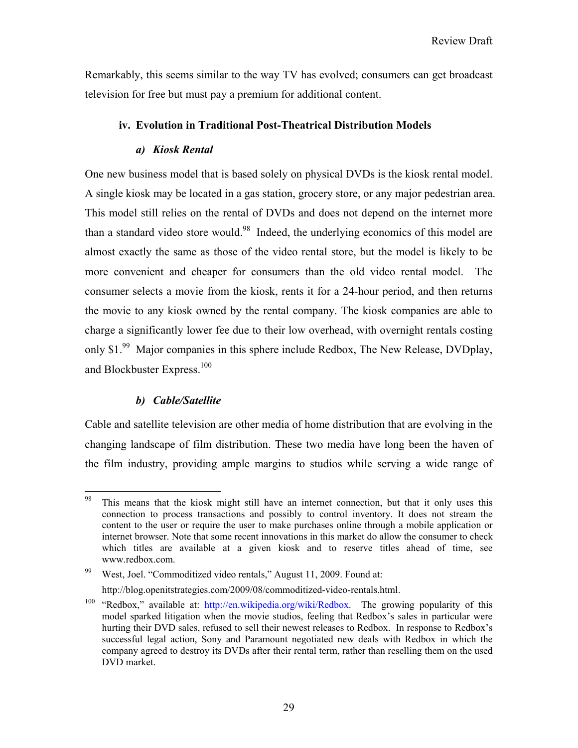Remarkably, this seems similar to the way TV has evolved; consumers can get broadcast television for free but must pay a premium for additional content.

# **iv. Evolution in Traditional Post-Theatrical Distribution Models**

# *a) Kiosk Rental*

One new business model that is based solely on physical DVDs is the kiosk rental model. A single kiosk may be located in a gas station, grocery store, or any major pedestrian area. This model still relies on the rental of DVDs and does not depend on the internet more than a standard video store would.<sup>98</sup> Indeed, the underlying economics of this model are almost exactly the same as those of the video rental store, but the model is likely to be more convenient and cheaper for consumers than the old video rental model. The consumer selects a movie from the kiosk, rents it for a 24-hour period, and then returns the movie to any kiosk owned by the rental company. The kiosk companies are able to charge a significantly lower fee due to their low overhead, with overnight rentals costing only \$1.<sup>99</sup> Major companies in this sphere include Redbox, The New Release, DVDplay, and Blockbuster Express.<sup>100</sup>

# *b) Cable/Satellite*

Cable and satellite television are other media of home distribution that are evolving in the changing landscape of film distribution. These two media have long been the haven of the film industry, providing ample margins to studios while serving a wide range of

<sup>98</sup> This means that the kiosk might still have an internet connection, but that it only uses this connection to process transactions and possibly to control inventory. It does not stream the content to the user or require the user to make purchases online through a mobile application or internet browser. Note that some recent innovations in this market do allow the consumer to check which titles are available at a given kiosk and to reserve titles ahead of time, see www.redbox.com.

<sup>99</sup> West, Joel. "Commoditized video rentals," August 11, 2009. Found at: http://blog.openitstrategies.com/2009/08/commoditized-video-rentals.html.

<sup>&</sup>lt;sup>100</sup> "Redbox," available at: http://en.wikipedia.org/wiki/Redbox. The growing popularity of this model sparked litigation when the movie studios, feeling that Redbox's sales in particular were hurting their DVD sales, refused to sell their newest releases to Redbox. In response to Redbox's successful legal action, Sony and Paramount negotiated new deals with Redbox in which the company agreed to destroy its DVDs after their rental term, rather than reselling them on the used DVD market.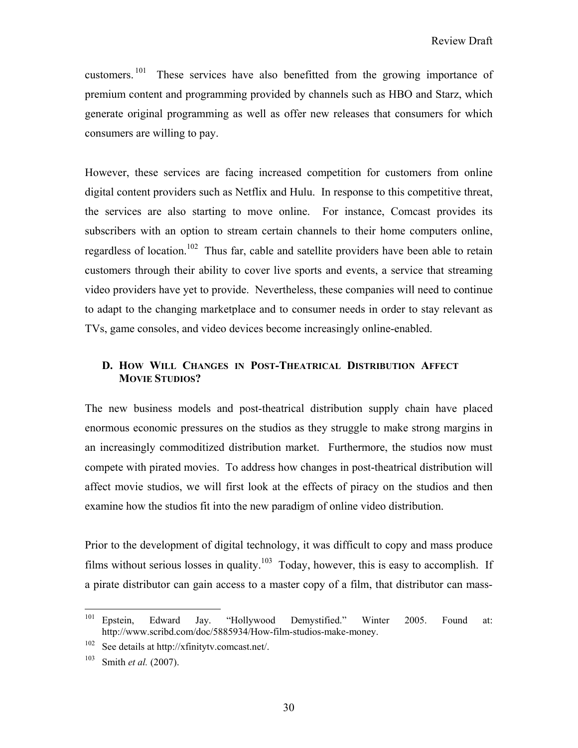customers.<sup>101</sup> These services have also benefitted from the growing importance of premium content and programming provided by channels such as HBO and Starz, which generate original programming as well as offer new releases that consumers for which consumers are willing to pay.

However, these services are facing increased competition for customers from online digital content providers such as Netflix and Hulu. In response to this competitive threat, the services are also starting to move online. For instance, Comcast provides its subscribers with an option to stream certain channels to their home computers online, regardless of location.<sup>102</sup> Thus far, cable and satellite providers have been able to retain customers through their ability to cover live sports and events, a service that streaming video providers have yet to provide. Nevertheless, these companies will need to continue to adapt to the changing marketplace and to consumer needs in order to stay relevant as TVs, game consoles, and video devices become increasingly online-enabled.

# **D. HOW WILL CHANGES IN POST-THEATRICAL DISTRIBUTION AFFECT MOVIE STUDIOS?**

The new business models and post-theatrical distribution supply chain have placed enormous economic pressures on the studios as they struggle to make strong margins in an increasingly commoditized distribution market. Furthermore, the studios now must compete with pirated movies. To address how changes in post-theatrical distribution will affect movie studios, we will first look at the effects of piracy on the studios and then examine how the studios fit into the new paradigm of online video distribution.

Prior to the development of digital technology, it was difficult to copy and mass produce films without serious losses in quality.<sup>103</sup> Today, however, this is easy to accomplish. If a pirate distributor can gain access to a master copy of a film, that distributor can mass-

<sup>101</sup> 101 Epstein, Edward Jay. "Hollywood Demystified." Winter 2005. Found at: http://www.scribd.com/doc/5885934/How-film-studios-make-money.

<sup>102</sup> See details at http://xfinitytv.comcast.net/.

<sup>103</sup> Smith *et al.* (2007).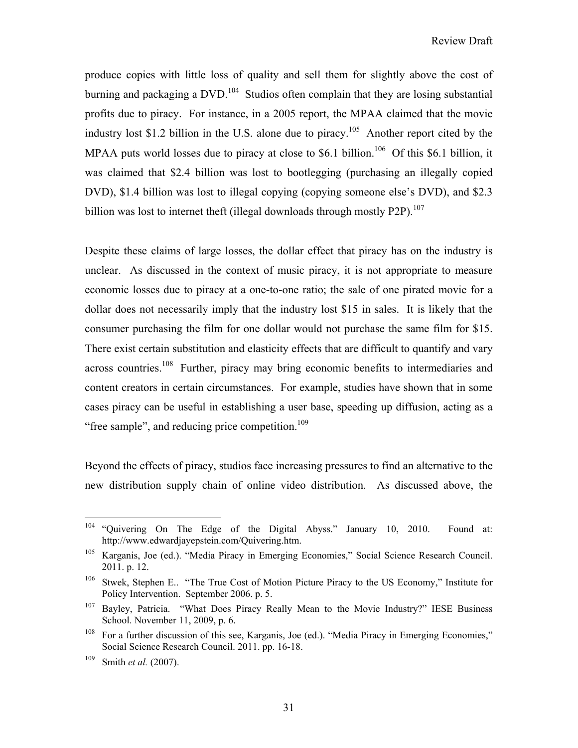produce copies with little loss of quality and sell them for slightly above the cost of burning and packaging a  $DVD$ .<sup>104</sup> Studios often complain that they are losing substantial profits due to piracy. For instance, in a 2005 report, the MPAA claimed that the movie industry lost \$1.2 billion in the U.S. alone due to piracy.<sup>105</sup> Another report cited by the MPAA puts world losses due to piracy at close to \$6.1 billion.<sup>106</sup> Of this \$6.1 billion, it was claimed that \$2.4 billion was lost to bootlegging (purchasing an illegally copied DVD), \$1.4 billion was lost to illegal copying (copying someone else's DVD), and \$2.3 billion was lost to internet theft (illegal downloads through mostly P2P).<sup>107</sup>

Despite these claims of large losses, the dollar effect that piracy has on the industry is unclear. As discussed in the context of music piracy, it is not appropriate to measure economic losses due to piracy at a one-to-one ratio; the sale of one pirated movie for a dollar does not necessarily imply that the industry lost \$15 in sales. It is likely that the consumer purchasing the film for one dollar would not purchase the same film for \$15. There exist certain substitution and elasticity effects that are difficult to quantify and vary across countries.<sup>108</sup> Further, piracy may bring economic benefits to intermediaries and content creators in certain circumstances. For example, studies have shown that in some cases piracy can be useful in establishing a user base, speeding up diffusion, acting as a "free sample", and reducing price competition.<sup>109</sup>

Beyond the effects of piracy, studios face increasing pressures to find an alternative to the new distribution supply chain of online video distribution. As discussed above, the

<sup>104</sup> "Quivering On The Edge of the Digital Abyss." January 10, 2010. Found at: http://www.edwardjayepstein.com/Quivering.htm.

<sup>105</sup> Karganis, Joe (ed.). "Media Piracy in Emerging Economies," Social Science Research Council. 2011. p. 12.

<sup>&</sup>lt;sup>106</sup> Stwek, Stephen E.. "The True Cost of Motion Picture Piracy to the US Economy," Institute for Policy Intervention. September 2006. p. 5.

<sup>&</sup>lt;sup>107</sup> Bayley, Patricia. "What Does Piracy Really Mean to the Movie Industry?" IESE Business School. November 11, 2009, p. 6.

<sup>&</sup>lt;sup>108</sup> For a further discussion of this see, Karganis, Joe (ed.). "Media Piracy in Emerging Economies," Social Science Research Council. 2011. pp. 16-18.

<sup>109</sup> Smith *et al.* (2007).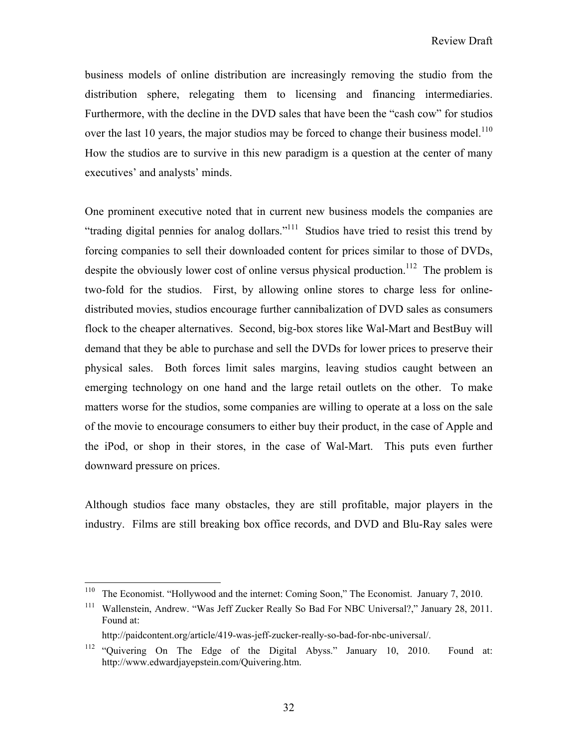business models of online distribution are increasingly removing the studio from the distribution sphere, relegating them to licensing and financing intermediaries. Furthermore, with the decline in the DVD sales that have been the "cash cow" for studios over the last 10 years, the major studios may be forced to change their business model.<sup>110</sup> How the studios are to survive in this new paradigm is a question at the center of many executives' and analysts' minds.

One prominent executive noted that in current new business models the companies are "trading digital pennies for analog dollars."111 Studios have tried to resist this trend by forcing companies to sell their downloaded content for prices similar to those of DVDs, despite the obviously lower cost of online versus physical production.<sup>112</sup> The problem is two-fold for the studios. First, by allowing online stores to charge less for onlinedistributed movies, studios encourage further cannibalization of DVD sales as consumers flock to the cheaper alternatives. Second, big-box stores like Wal-Mart and BestBuy will demand that they be able to purchase and sell the DVDs for lower prices to preserve their physical sales. Both forces limit sales margins, leaving studios caught between an emerging technology on one hand and the large retail outlets on the other. To make matters worse for the studios, some companies are willing to operate at a loss on the sale of the movie to encourage consumers to either buy their product, in the case of Apple and the iPod, or shop in their stores, in the case of Wal-Mart. This puts even further downward pressure on prices.

Although studios face many obstacles, they are still profitable, major players in the industry. Films are still breaking box office records, and DVD and Blu-Ray sales were

 $\overline{a}$ 

<sup>&</sup>lt;sup>110</sup> The Economist. "Hollywood and the internet: Coming Soon," The Economist. January 7, 2010.

<sup>&</sup>lt;sup>111</sup> Wallenstein, Andrew. "Was Jeff Zucker Really So Bad For NBC Universal?," January 28, 2011. Found at:

http://paidcontent.org/article/419-was-jeff-zucker-really-so-bad-for-nbc-universal/.

<sup>112 &</sup>quot;Quivering On The Edge of the Digital Abyss." January 10, 2010. Found at: http://www.edwardjayepstein.com/Quivering.htm.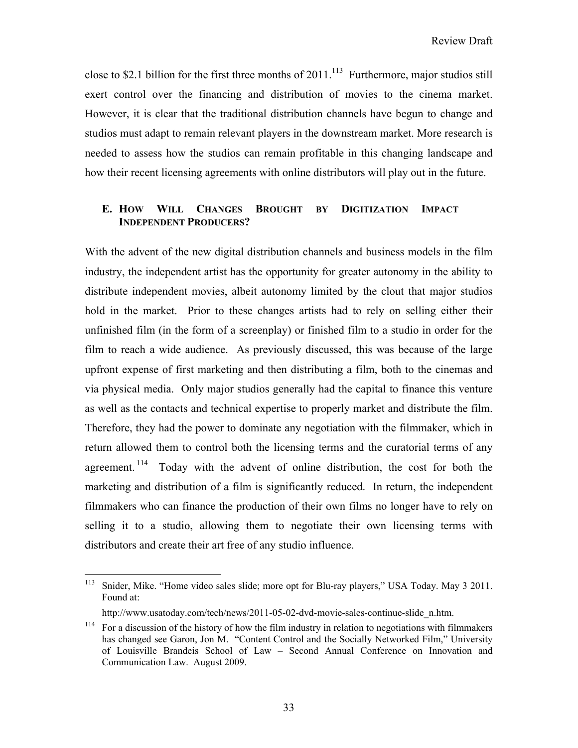close to \$2.1 billion for the first three months of  $2011$ .<sup>113</sup> Furthermore, major studios still exert control over the financing and distribution of movies to the cinema market. However, it is clear that the traditional distribution channels have begun to change and studios must adapt to remain relevant players in the downstream market. More research is needed to assess how the studios can remain profitable in this changing landscape and how their recent licensing agreements with online distributors will play out in the future.

# **E. HOW WILL CHANGES BROUGHT BY DIGITIZATION IMPACT INDEPENDENT PRODUCERS?**

With the advent of the new digital distribution channels and business models in the film industry, the independent artist has the opportunity for greater autonomy in the ability to distribute independent movies, albeit autonomy limited by the clout that major studios hold in the market. Prior to these changes artists had to rely on selling either their unfinished film (in the form of a screenplay) or finished film to a studio in order for the film to reach a wide audience. As previously discussed, this was because of the large upfront expense of first marketing and then distributing a film, both to the cinemas and via physical media. Only major studios generally had the capital to finance this venture as well as the contacts and technical expertise to properly market and distribute the film. Therefore, they had the power to dominate any negotiation with the filmmaker, which in return allowed them to control both the licensing terms and the curatorial terms of any agreement.<sup>114</sup> Today with the advent of online distribution, the cost for both the marketing and distribution of a film is significantly reduced. In return, the independent filmmakers who can finance the production of their own films no longer have to rely on selling it to a studio, allowing them to negotiate their own licensing terms with distributors and create their art free of any studio influence.

<sup>113</sup> 113 Snider, Mike. "Home video sales slide; more opt for Blu-ray players," USA Today. May 3 2011. Found at:

http://www.usatoday.com/tech/news/2011-05-02-dvd-movie-sales-continue-slide\_n.htm.

<sup>&</sup>lt;sup>114</sup> For a discussion of the history of how the film industry in relation to negotiations with filmmakers has changed see Garon, Jon M. "Content Control and the Socially Networked Film," University of Louisville Brandeis School of Law – Second Annual Conference on Innovation and Communication Law. August 2009.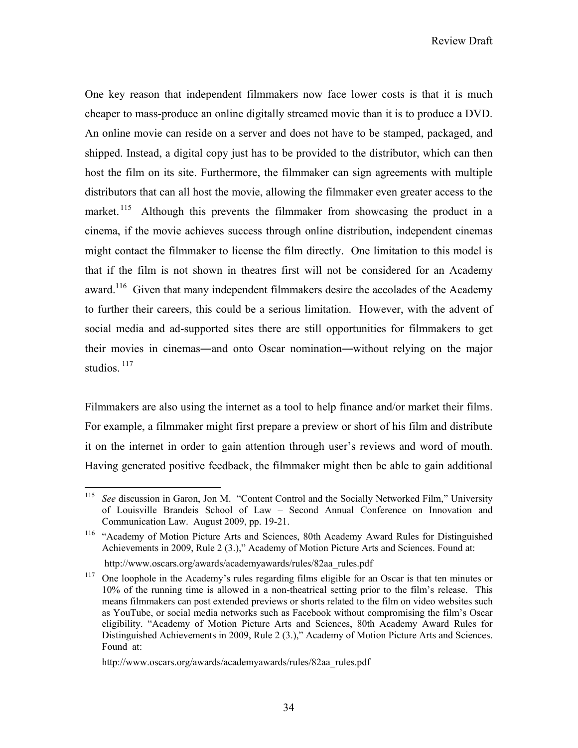Review Draft

One key reason that independent filmmakers now face lower costs is that it is much cheaper to mass-produce an online digitally streamed movie than it is to produce a DVD. An online movie can reside on a server and does not have to be stamped, packaged, and shipped. Instead, a digital copy just has to be provided to the distributor, which can then host the film on its site. Furthermore, the filmmaker can sign agreements with multiple distributors that can all host the movie, allowing the filmmaker even greater access to the market.  $115$  Although this prevents the filmmaker from showcasing the product in a cinema, if the movie achieves success through online distribution, independent cinemas might contact the filmmaker to license the film directly. One limitation to this model is that if the film is not shown in theatres first will not be considered for an Academy award.<sup>116</sup> Given that many independent filmmakers desire the accolades of the Academy to further their careers, this could be a serious limitation. However, with the advent of social media and ad-supported sites there are still opportunities for filmmakers to get their movies in cinemas―and onto Oscar nomination―without relying on the major studios.  $117$ 

Filmmakers are also using the internet as a tool to help finance and/or market their films. For example, a filmmaker might first prepare a preview or short of his film and distribute it on the internet in order to gain attention through user's reviews and word of mouth. Having generated positive feedback, the filmmaker might then be able to gain additional

<sup>115</sup> See discussion in Garon, Jon M. "Content Control and the Socially Networked Film," University of Louisville Brandeis School of Law – Second Annual Conference on Innovation and Communication Law. August 2009, pp. 19-21.

<sup>&</sup>lt;sup>116</sup> "Academy of Motion Picture Arts and Sciences, 80th Academy Award Rules for Distinguished Achievements in 2009, Rule 2 (3.)," Academy of Motion Picture Arts and Sciences. Found at:

http://www.oscars.org/awards/academyawards/rules/82aa\_rules.pdf

<sup>&</sup>lt;sup>117</sup> One loophole in the Academy's rules regarding films eligible for an Oscar is that ten minutes or 10% of the running time is allowed in a non-theatrical setting prior to the film's release. This means filmmakers can post extended previews or shorts related to the film on video websites such as YouTube, or social media networks such as Facebook without compromising the film's Oscar eligibility. "Academy of Motion Picture Arts and Sciences, 80th Academy Award Rules for Distinguished Achievements in 2009, Rule 2 (3.)," Academy of Motion Picture Arts and Sciences. Found at:

http://www.oscars.org/awards/academyawards/rules/82aa\_rules.pdf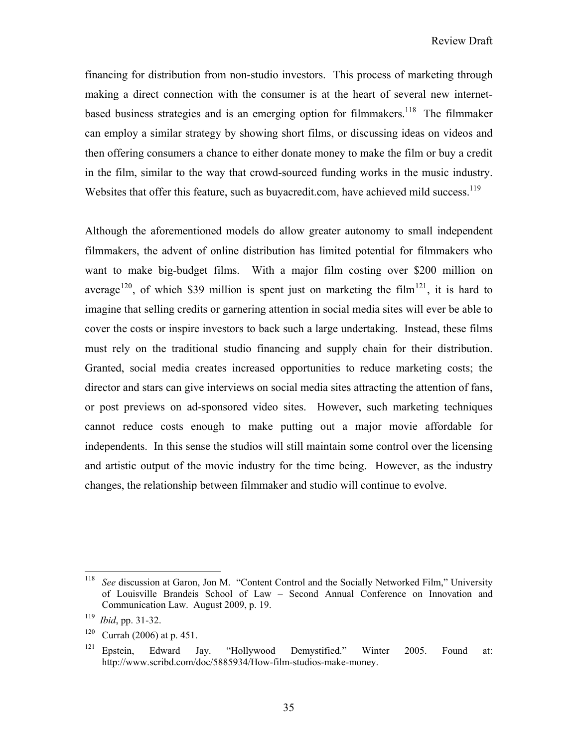financing for distribution from non-studio investors. This process of marketing through making a direct connection with the consumer is at the heart of several new internetbased business strategies and is an emerging option for filmmakers.<sup>118</sup> The filmmaker can employ a similar strategy by showing short films, or discussing ideas on videos and then offering consumers a chance to either donate money to make the film or buy a credit in the film, similar to the way that crowd-sourced funding works in the music industry. Websites that offer this feature, such as buyacredit.com, have achieved mild success.<sup>119</sup>

Although the aforementioned models do allow greater autonomy to small independent filmmakers, the advent of online distribution has limited potential for filmmakers who want to make big-budget films. With a major film costing over \$200 million on average<sup>120</sup>, of which \$39 million is spent just on marketing the film<sup>121</sup>, it is hard to imagine that selling credits or garnering attention in social media sites will ever be able to cover the costs or inspire investors to back such a large undertaking. Instead, these films must rely on the traditional studio financing and supply chain for their distribution. Granted, social media creates increased opportunities to reduce marketing costs; the director and stars can give interviews on social media sites attracting the attention of fans, or post previews on ad-sponsored video sites. However, such marketing techniques cannot reduce costs enough to make putting out a major movie affordable for independents. In this sense the studios will still maintain some control over the licensing and artistic output of the movie industry for the time being. However, as the industry changes, the relationship between filmmaker and studio will continue to evolve.

<sup>118</sup> See discussion at Garon, Jon M. "Content Control and the Socially Networked Film," University of Louisville Brandeis School of Law – Second Annual Conference on Innovation and Communication Law. August 2009, p. 19.

<sup>119</sup> *Ibid*, pp. 31-32.

<sup>&</sup>lt;sup>120</sup> Currah (2006) at p. 451.

<sup>121</sup> Epstein, Edward Jay. "Hollywood Demystified." Winter 2005. Found at: http://www.scribd.com/doc/5885934/How-film-studios-make-money.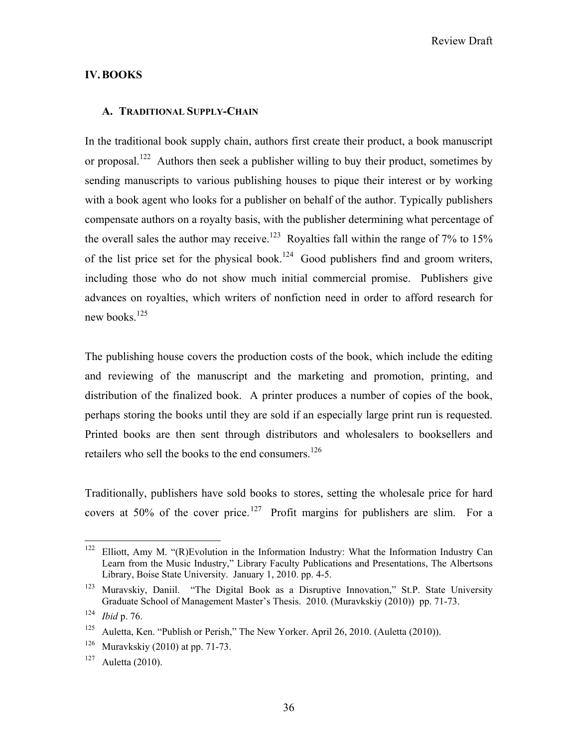#### **IV.BOOKS**

#### **A. TRADITIONAL SUPPLY-CHAIN**

In the traditional book supply chain, authors first create their product, a book manuscript or proposal.<sup>122</sup> Authors then seek a publisher willing to buy their product, sometimes by sending manuscripts to various publishing houses to pique their interest or by working with a book agent who looks for a publisher on behalf of the author. Typically publishers compensate authors on a royalty basis, with the publisher determining what percentage of the overall sales the author may receive.<sup>123</sup> Royalties fall within the range of 7% to 15% of the list price set for the physical book.<sup>124</sup> Good publishers find and groom writers, including those who do not show much initial commercial promise. Publishers give advances on royalties, which writers of nonfiction need in order to afford research for new books. $125$ 

The publishing house covers the production costs of the book, which include the editing and reviewing of the manuscript and the marketing and promotion, printing, and distribution of the finalized book. A printer produces a number of copies of the book, perhaps storing the books until they are sold if an especially large print run is requested. Printed books are then sent through distributors and wholesalers to booksellers and retailers who sell the books to the end consumers.<sup>126</sup>

Traditionally, publishers have sold books to stores, setting the wholesale price for hard covers at 50% of the cover price.<sup>127</sup> Profit margins for publishers are slim. For a

 $122\,$ Elliott, Amy M. "(R)Evolution in the Information Industry: What the Information Industry Can Learn from the Music Industry," Library Faculty Publications and Presentations, The Albertsons Library, Boise State University. January 1, 2010. pp. 4-5.

<sup>&</sup>lt;sup>123</sup> Muravskiy, Daniil. "The Digital Book as a Disruptive Innovation," St.P. State University Graduate School of Management Master's Thesis. 2010. (Muravkskiy (2010)) pp. 71-73.

<sup>124</sup> *Ibid* p. 76.

<sup>&</sup>lt;sup>125</sup> Auletta, Ken. "Publish or Perish," The New Yorker. April 26, 2010. (Auletta (2010)).

<sup>&</sup>lt;sup>126</sup> Muravkskiy (2010) at pp. 71-73.

 $127$  Auletta (2010).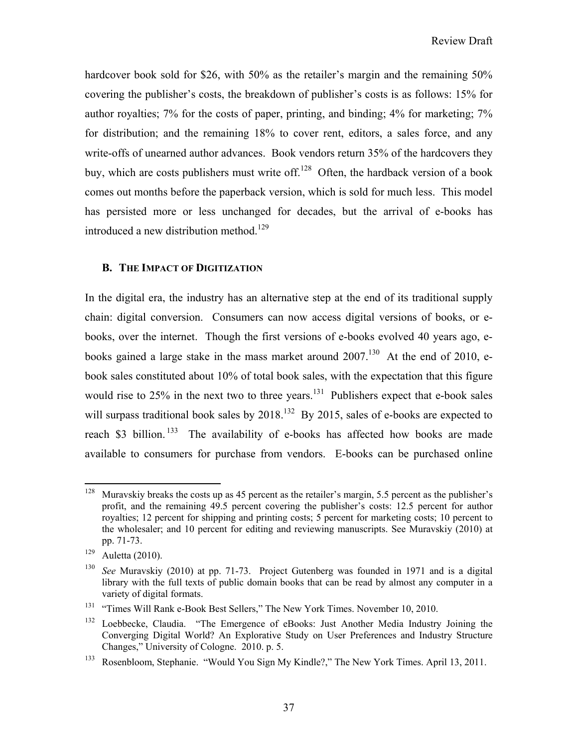hardcover book sold for \$26, with 50% as the retailer's margin and the remaining 50% covering the publisher's costs, the breakdown of publisher's costs is as follows: 15% for author royalties; 7% for the costs of paper, printing, and binding; 4% for marketing; 7% for distribution; and the remaining 18% to cover rent, editors, a sales force, and any write-offs of unearned author advances. Book vendors return 35% of the hardcovers they buy, which are costs publishers must write off.<sup>128</sup> Often, the hardback version of a book comes out months before the paperback version, which is sold for much less. This model has persisted more or less unchanged for decades, but the arrival of e-books has introduced a new distribution method.<sup>129</sup>

## **B. THE IMPACT OF DIGITIZATION**

In the digital era, the industry has an alternative step at the end of its traditional supply chain: digital conversion. Consumers can now access digital versions of books, or ebooks, over the internet. Though the first versions of e-books evolved 40 years ago, ebooks gained a large stake in the mass market around  $2007$ .<sup>130</sup> At the end of 2010, ebook sales constituted about 10% of total book sales, with the expectation that this figure would rise to  $25\%$  in the next two to three years.<sup>131</sup> Publishers expect that e-book sales will surpass traditional book sales by  $2018<sup>132</sup>$  By 2015, sales of e-books are expected to reach \$3 billion.<sup>133</sup> The availability of e-books has affected how books are made available to consumers for purchase from vendors. E-books can be purchased online

 $\overline{a}$ <sup>128</sup> Muravskiy breaks the costs up as 45 percent as the retailer's margin, 5.5 percent as the publisher's profit, and the remaining 49.5 percent covering the publisher's costs: 12.5 percent for author royalties; 12 percent for shipping and printing costs; 5 percent for marketing costs; 10 percent to the wholesaler; and 10 percent for editing and reviewing manuscripts. See Muravskiy (2010) at pp. 71-73.

 $129$  Auletta (2010).

<sup>130</sup> *See* Muravskiy (2010) at pp. 71-73. Project Gutenberg was founded in 1971 and is a digital library with the full texts of public domain books that can be read by almost any computer in a variety of digital formats.

<sup>&</sup>lt;sup>131</sup> "Times Will Rank e-Book Best Sellers," The New York Times. November 10, 2010.

<sup>&</sup>lt;sup>132</sup> Loebbecke, Claudia. "The Emergence of eBooks: Just Another Media Industry Joining the Converging Digital World? An Explorative Study on User Preferences and Industry Structure Changes," University of Cologne. 2010. p. 5.

<sup>133</sup> Rosenbloom, Stephanie. "Would You Sign My Kindle?," The New York Times. April 13, 2011.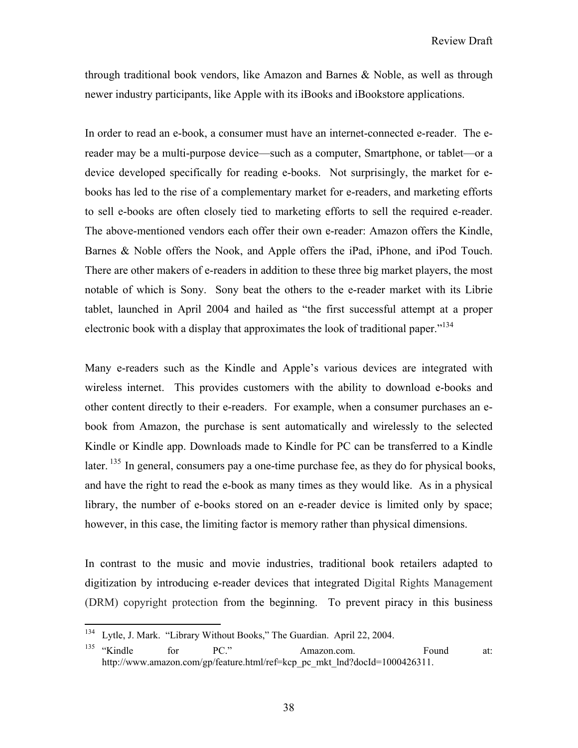through traditional book vendors, like Amazon and Barnes & Noble, as well as through newer industry participants, like Apple with its iBooks and iBookstore applications.

In order to read an e-book, a consumer must have an internet-connected e-reader. The ereader may be a multi-purpose device—such as a computer, Smartphone, or tablet—or a device developed specifically for reading e-books. Not surprisingly, the market for ebooks has led to the rise of a complementary market for e-readers, and marketing efforts to sell e-books are often closely tied to marketing efforts to sell the required e-reader. The above-mentioned vendors each offer their own e-reader: Amazon offers the Kindle, Barnes & Noble offers the Nook, and Apple offers the iPad, iPhone, and iPod Touch. There are other makers of e-readers in addition to these three big market players, the most notable of which is Sony. Sony beat the others to the e-reader market with its Librie tablet, launched in April 2004 and hailed as "the first successful attempt at a proper electronic book with a display that approximates the look of traditional paper."<sup>134</sup>

Many e-readers such as the Kindle and Apple's various devices are integrated with wireless internet. This provides customers with the ability to download e-books and other content directly to their e-readers. For example, when a consumer purchases an ebook from Amazon, the purchase is sent automatically and wirelessly to the selected Kindle or Kindle app. Downloads made to Kindle for PC can be transferred to a Kindle later. <sup>135</sup> In general, consumers pay a one-time purchase fee, as they do for physical books, and have the right to read the e-book as many times as they would like. As in a physical library, the number of e-books stored on an e-reader device is limited only by space; however, in this case, the limiting factor is memory rather than physical dimensions.

In contrast to the music and movie industries, traditional book retailers adapted to digitization by introducing e-reader devices that integrated Digital Rights Management (DRM) copyright protection from the beginning. To prevent piracy in this business

<sup>134</sup> Lytle, J. Mark. "Library Without Books," The Guardian. April 22, 2004.

<sup>&</sup>lt;sup>135</sup> "Kindle for PC." Amazon.com. Found at: http://www.amazon.com/gp/feature.html/ref=kcp\_pc\_mkt\_lnd?docId=1000426311.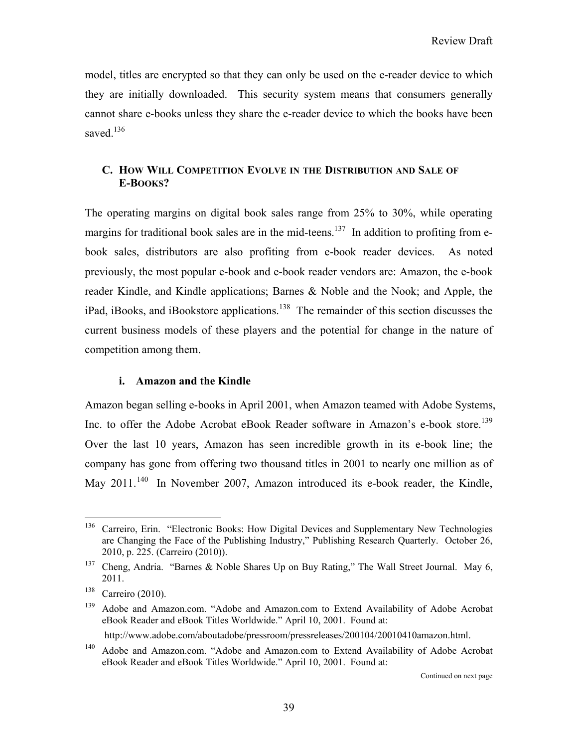model, titles are encrypted so that they can only be used on the e-reader device to which they are initially downloaded. This security system means that consumers generally cannot share e-books unless they share the e-reader device to which the books have been saved.<sup>136</sup>

# **C. HOW WILL COMPETITION EVOLVE IN THE DISTRIBUTION AND SALE OF E-BOOKS?**

The operating margins on digital book sales range from 25% to 30%, while operating margins for traditional book sales are in the mid-teens.<sup>137</sup> In addition to profiting from ebook sales, distributors are also profiting from e-book reader devices. As noted previously, the most popular e-book and e-book reader vendors are: Amazon, the e-book reader Kindle, and Kindle applications; Barnes & Noble and the Nook; and Apple, the iPad, iBooks, and iBookstore applications.<sup>138</sup> The remainder of this section discusses the current business models of these players and the potential for change in the nature of competition among them.

## **i. Amazon and the Kindle**

Amazon began selling e-books in April 2001, when Amazon teamed with Adobe Systems, Inc. to offer the Adobe Acrobat eBook Reader software in Amazon's e-book store.<sup>139</sup> Over the last 10 years, Amazon has seen incredible growth in its e-book line; the company has gone from offering two thousand titles in 2001 to nearly one million as of May 2011.<sup>140</sup> In November 2007, Amazon introduced its e-book reader, the Kindle,

<sup>136</sup> 136 Carreiro, Erin. "Electronic Books: How Digital Devices and Supplementary New Technologies are Changing the Face of the Publishing Industry," Publishing Research Quarterly. October 26, 2010, p. 225. (Carreiro (2010)).

<sup>&</sup>lt;sup>137</sup> Cheng, Andria. "Barnes & Noble Shares Up on Buy Rating," The Wall Street Journal. May 6, 2011.

<sup>138</sup> Carreiro (2010).

<sup>&</sup>lt;sup>139</sup> Adobe and Amazon.com. "Adobe and Amazon.com to Extend Availability of Adobe Acrobat eBook Reader and eBook Titles Worldwide." April 10, 2001. Found at:

http://www.adobe.com/aboutadobe/pressroom/pressreleases/200104/20010410amazon.html.

<sup>&</sup>lt;sup>140</sup> Adobe and Amazon.com. "Adobe and Amazon.com to Extend Availability of Adobe Acrobat eBook Reader and eBook Titles Worldwide." April 10, 2001. Found at: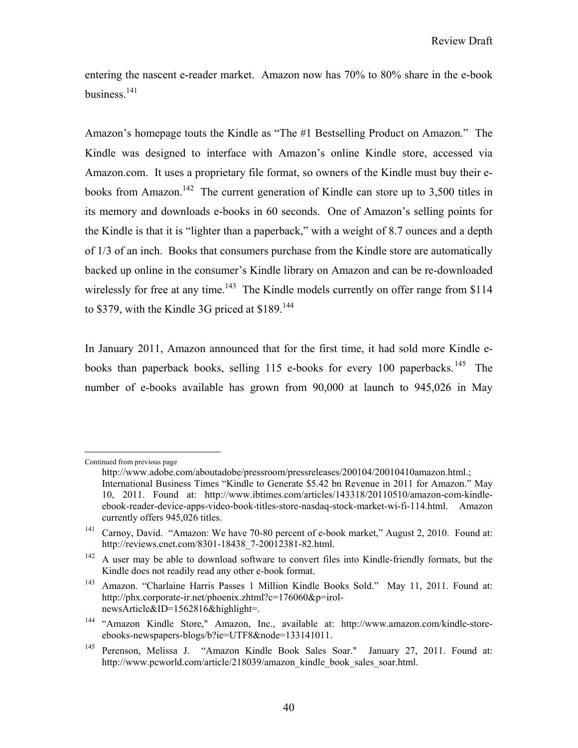entering the nascent e-reader market. Amazon now has 70% to 80% share in the e-book business. $141$ 

Amazon's homepage touts the Kindle as "The #1 Bestselling Product on Amazon." The Kindle was designed to interface with Amazon's online Kindle store, accessed via Amazon.com. It uses a proprietary file format, so owners of the Kindle must buy their ebooks from Amazon.<sup>142</sup> The current generation of Kindle can store up to 3,500 titles in its memory and downloads e-books in 60 seconds. One of Amazon's selling points for the Kindle is that it is "lighter than a paperback," with a weight of 8.7 ounces and a depth of 1/3 of an inch. Books that consumers purchase from the Kindle store are automatically backed up online in the consumer's Kindle library on Amazon and can be re-downloaded wirelessly for free at any time.<sup>143</sup> The Kindle models currently on offer range from \$114 to \$379, with the Kindle 3G priced at \$189.<sup>144</sup>

In January 2011, Amazon announced that for the first time, it had sold more Kindle ebooks than paperback books, selling  $115$  e-books for every 100 paperbacks.<sup>145</sup> The number of e-books available has grown from 90,000 at launch to 945,026 in May

 $\overline{a}$ 

Continued from previous page

http://www.adobe.com/aboutadobe/pressroom/pressreleases/200104/20010410amazon.html.; International Business Times "Kindle to Generate \$5.42 bn Revenue in 2011 for Amazon." May 10, 2011. Found at: http://www.ibtimes.com/articles/143318/20110510/amazon-com-kindleebook-reader-device-apps-video-book-titles-store-nasdaq-stock-market-wi-fi-114.html. Amazon currently offers 945,026 titles.

<sup>&</sup>lt;sup>141</sup> Carnoy, David. "Amazon: We have 70-80 percent of e-book market," August 2, 2010. Found at: http://reviews.cnet.com/8301-18438\_7-20012381-82.html.

<sup>&</sup>lt;sup>142</sup> A user may be able to download software to convert files into Kindle-friendly formats, but the Kindle does not readily read any other e-book format.

<sup>143</sup> Amazon. "Charlaine Harris Passes 1 Million Kindle Books Sold." May 11, 2011. Found at: http://phx.corporate-ir.net/phoenix.zhtml?c=176060&p=irolnewsArticle&ID=1562816&highlight=.

<sup>144 &</sup>quot;Amazon Kindle Store," Amazon, Inc., available at: http://www.amazon.com/kindle-storeebooks-newspapers-blogs/b?ie=UTF8&node=133141011.

<sup>145</sup> Perenson, Melissa J. "Amazon Kindle Book Sales Soar." January 27, 2011. Found at: http://www.pcworld.com/article/218039/amazon\_kindle\_book\_sales\_soar.html.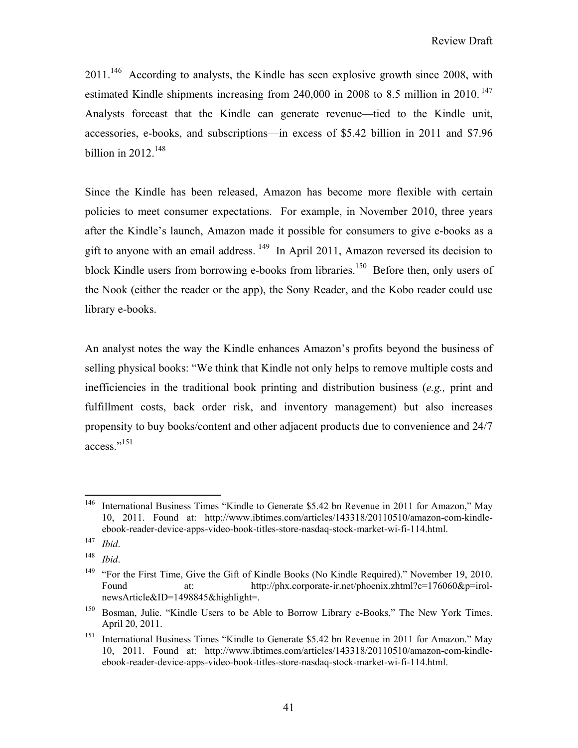$2011$ <sup>146</sup> According to analysts, the Kindle has seen explosive growth since 2008, with estimated Kindle shipments increasing from 240,000 in 2008 to 8.5 million in 2010.<sup>147</sup> Analysts forecast that the Kindle can generate revenue—tied to the Kindle unit, accessories, e-books, and subscriptions—in excess of \$5.42 billion in 2011 and \$7.96 billion in  $2012.<sup>148</sup>$ 

Since the Kindle has been released, Amazon has become more flexible with certain policies to meet consumer expectations. For example, in November 2010, three years after the Kindle's launch, Amazon made it possible for consumers to give e-books as a gift to anyone with an email address. 149 In April 2011, Amazon reversed its decision to block Kindle users from borrowing e-books from libraries.<sup>150</sup> Before then, only users of the Nook (either the reader or the app), the Sony Reader, and the Kobo reader could use library e-books.

An analyst notes the way the Kindle enhances Amazon's profits beyond the business of selling physical books: "We think that Kindle not only helps to remove multiple costs and inefficiencies in the traditional book printing and distribution business (*e.g.,* print and fulfillment costs, back order risk, and inventory management) but also increases propensity to buy books/content and other adjacent products due to convenience and 24/7 access."<sup>151</sup>

<sup>146</sup> International Business Times "Kindle to Generate \$5.42 bn Revenue in 2011 for Amazon," May 10, 2011. Found at: http://www.ibtimes.com/articles/143318/20110510/amazon-com-kindleebook-reader-device-apps-video-book-titles-store-nasdaq-stock-market-wi-fi-114.html.

<sup>147</sup> *Ibid*.

<sup>148</sup> *Ibid*.

<sup>&</sup>lt;sup>149</sup> "For the First Time, Give the Gift of Kindle Books (No Kindle Required)." November 19, 2010. Found at: http://phx.corporate-ir.net/phoenix.zhtml?c=176060&p=irolnewsArticle&ID=1498845&highlight=.

<sup>&</sup>lt;sup>150</sup> Bosman, Julie. "Kindle Users to be Able to Borrow Library e-Books," The New York Times. April 20, 2011.

<sup>&</sup>lt;sup>151</sup> International Business Times "Kindle to Generate \$5.42 bn Revenue in 2011 for Amazon." May 10, 2011. Found at: http://www.ibtimes.com/articles/143318/20110510/amazon-com-kindleebook-reader-device-apps-video-book-titles-store-nasdaq-stock-market-wi-fi-114.html.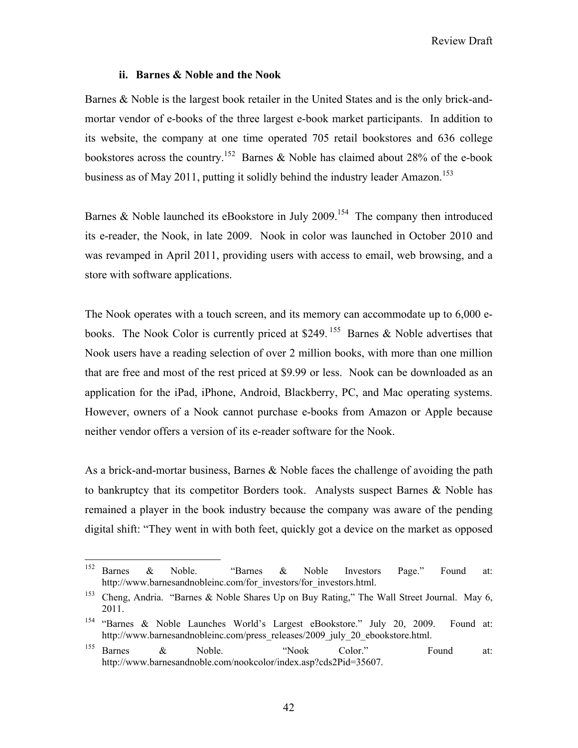#### **ii. Barnes & Noble and the Nook**

Barnes & Noble is the largest book retailer in the United States and is the only brick-andmortar vendor of e-books of the three largest e-book market participants. In addition to its website, the company at one time operated 705 retail bookstores and 636 college bookstores across the country.<sup>152</sup> Barnes & Noble has claimed about 28% of the e-book business as of May 2011, putting it solidly behind the industry leader Amazon.<sup>153</sup>

Barnes  $\&$  Noble launched its eBookstore in July 2009.<sup>154</sup> The company then introduced its e-reader, the Nook, in late 2009. Nook in color was launched in October 2010 and was revamped in April 2011, providing users with access to email, web browsing, and a store with software applications.

The Nook operates with a touch screen, and its memory can accommodate up to 6,000 ebooks. The Nook Color is currently priced at \$249.<sup>155</sup> Barnes & Noble advertises that Nook users have a reading selection of over 2 million books, with more than one million that are free and most of the rest priced at \$9.99 or less. Nook can be downloaded as an application for the iPad, iPhone, Android, Blackberry, PC, and Mac operating systems. However, owners of a Nook cannot purchase e-books from Amazon or Apple because neither vendor offers a version of its e-reader software for the Nook.

As a brick-and-mortar business, Barnes & Noble faces the challenge of avoiding the path to bankruptcy that its competitor Borders took. Analysts suspect Barnes & Noble has remained a player in the book industry because the company was aware of the pending digital shift: "They went in with both feet, quickly got a device on the market as opposed

<sup>152</sup> <sup>152</sup> Barnes & Noble. "Barnes & Noble Investors Page." Found at: http://www.barnesandnobleinc.com/for\_investors/for\_investors.html.

<sup>&</sup>lt;sup>153</sup> Cheng, Andria. "Barnes & Noble Shares Up on Buy Rating," The Wall Street Journal. May 6, 2011.

<sup>154 &</sup>quot;Barnes & Noble Launches World's Largest eBookstore." July 20, 2009. Found at: http://www.barnesandnobleinc.com/press\_releases/2009\_july\_20\_ebookstore.html.

<sup>&</sup>lt;sup>155</sup> Barnes & Noble. "Nook Color." Found at: http://www.barnesandnoble.com/nookcolor/index.asp?cds2Pid=35607.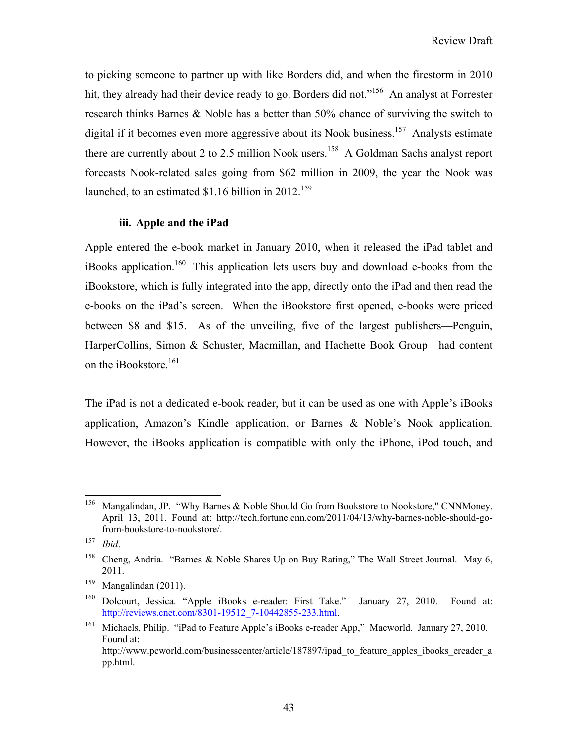to picking someone to partner up with like Borders did, and when the firestorm in 2010 hit, they already had their device ready to go. Borders did not."<sup>156</sup> An analyst at Forrester research thinks Barnes & Noble has a better than 50% chance of surviving the switch to digital if it becomes even more aggressive about its Nook business.<sup>157</sup> Analysts estimate there are currently about 2 to 2.5 million Nook users.<sup>158</sup> A Goldman Sachs analyst report forecasts Nook-related sales going from \$62 million in 2009, the year the Nook was launched, to an estimated \$1.16 billion in 2012.<sup>159</sup>

## **iii. Apple and the iPad**

Apple entered the e-book market in January 2010, when it released the iPad tablet and iBooks application.<sup>160</sup> This application lets users buy and download e-books from the iBookstore, which is fully integrated into the app, directly onto the iPad and then read the e-books on the iPad's screen. When the iBookstore first opened, e-books were priced between \$8 and \$15. As of the unveiling, five of the largest publishers—Penguin, HarperCollins, Simon & Schuster, Macmillan, and Hachette Book Group—had content on the iBookstore.<sup>161</sup>

The iPad is not a dedicated e-book reader, but it can be used as one with Apple's iBooks application, Amazon's Kindle application, or Barnes & Noble's Nook application. However, the iBooks application is compatible with only the iPhone, iPod touch, and

 $\overline{a}$ 

<sup>&</sup>lt;sup>156</sup> Mangalindan, JP. "Why Barnes & Noble Should Go from Bookstore to Nookstore," CNNMoney. April 13, 2011. Found at: http://tech.fortune.cnn.com/2011/04/13/why-barnes-noble-should-gofrom-bookstore-to-nookstore/.

<sup>157</sup> *Ibid*.

<sup>&</sup>lt;sup>158</sup> Cheng, Andria. "Barnes & Noble Shares Up on Buy Rating," The Wall Street Journal. May 6, 2011.

 $^{159}$  Mangalindan (2011).

<sup>160</sup> Dolcourt, Jessica. "Apple iBooks e-reader: First Take." January 27, 2010. Found at: http://reviews.cnet.com/8301-19512\_7-10442855-233.html.

<sup>&</sup>lt;sup>161</sup> Michaels, Philip. "iPad to Feature Apple's iBooks e-reader App," Macworld. January 27, 2010. Found at: http://www.pcworld.com/businesscenter/article/187897/ipad to feature apples ibooks ereader a pp.html.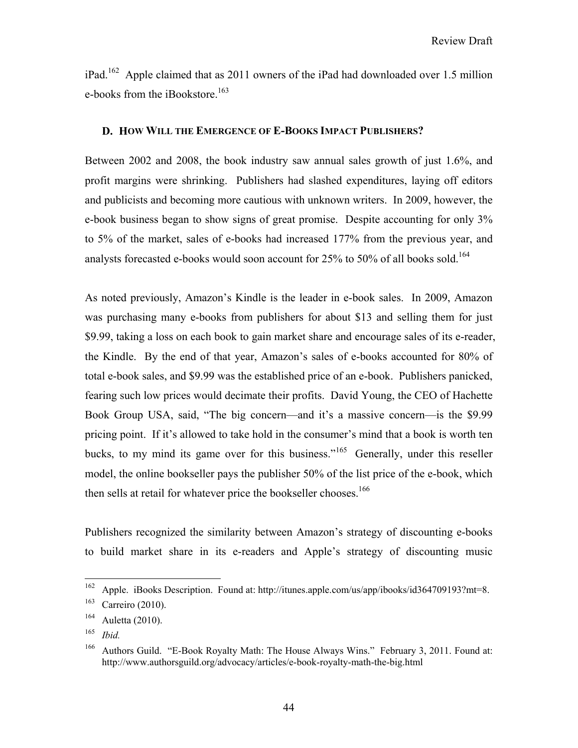iPad.162 Apple claimed that as 2011 owners of the iPad had downloaded over 1.5 million e-books from the iBookstore.<sup>163</sup>

## **D. HOW WILL THE EMERGENCE OF E-BOOKS IMPACT PUBLISHERS?**

Between 2002 and 2008, the book industry saw annual sales growth of just 1.6%, and profit margins were shrinking. Publishers had slashed expenditures, laying off editors and publicists and becoming more cautious with unknown writers. In 2009, however, the e-book business began to show signs of great promise. Despite accounting for only 3% to 5% of the market, sales of e-books had increased 177% from the previous year, and analysts forecasted e-books would soon account for 25% to 50% of all books sold.<sup>164</sup>

As noted previously, Amazon's Kindle is the leader in e-book sales. In 2009, Amazon was purchasing many e-books from publishers for about \$13 and selling them for just \$9.99, taking a loss on each book to gain market share and encourage sales of its e-reader, the Kindle. By the end of that year, Amazon's sales of e-books accounted for 80% of total e-book sales, and \$9.99 was the established price of an e-book. Publishers panicked, fearing such low prices would decimate their profits. David Young, the CEO of Hachette Book Group USA, said, "The big concern—and it's a massive concern—is the \$9.99 pricing point. If it's allowed to take hold in the consumer's mind that a book is worth ten bucks, to my mind its game over for this business."165 Generally, under this reseller model, the online bookseller pays the publisher 50% of the list price of the e-book, which then sells at retail for whatever price the bookseller chooses.<sup>166</sup>

Publishers recognized the similarity between Amazon's strategy of discounting e-books to build market share in its e-readers and Apple's strategy of discounting music

<sup>162</sup> 162 Apple. iBooks Description. Found at: http://itunes.apple.com/us/app/ibooks/id364709193?mt=8.

<sup>163</sup> Carreiro (2010).

<sup>164</sup> Auletta (2010).

<sup>165</sup> *Ibid.*

<sup>&</sup>lt;sup>166</sup> Authors Guild. "E-Book Royalty Math: The House Always Wins." February 3, 2011. Found at: http://www.authorsguild.org/advocacy/articles/e-book-royalty-math-the-big.html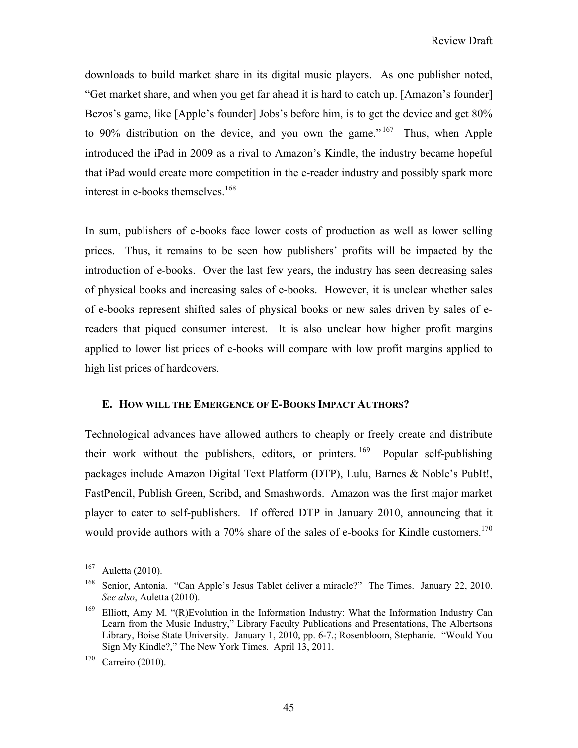downloads to build market share in its digital music players. As one publisher noted, "Get market share, and when you get far ahead it is hard to catch up. [Amazon's founder] Bezos's game, like [Apple's founder] Jobs's before him, is to get the device and get 80% to 90% distribution on the device, and you own the game."<sup>167</sup> Thus, when Apple introduced the iPad in 2009 as a rival to Amazon's Kindle, the industry became hopeful that iPad would create more competition in the e-reader industry and possibly spark more interest in e-books themselves.168

In sum, publishers of e-books face lower costs of production as well as lower selling prices. Thus, it remains to be seen how publishers' profits will be impacted by the introduction of e-books. Over the last few years, the industry has seen decreasing sales of physical books and increasing sales of e-books. However, it is unclear whether sales of e-books represent shifted sales of physical books or new sales driven by sales of ereaders that piqued consumer interest. It is also unclear how higher profit margins applied to lower list prices of e-books will compare with low profit margins applied to high list prices of hardcovers.

## **E. HOW WILL THE EMERGENCE OF E-BOOKS IMPACT AUTHORS?**

Technological advances have allowed authors to cheaply or freely create and distribute their work without the publishers, editors, or printers.  $169$  Popular self-publishing packages include Amazon Digital Text Platform (DTP), Lulu, Barnes & Noble's PubIt!, FastPencil, Publish Green, Scribd, and Smashwords. Amazon was the first major market player to cater to self-publishers. If offered DTP in January 2010, announcing that it would provide authors with a 70% share of the sales of e-books for Kindle customers.<sup>170</sup>

<sup>167</sup> Auletta (2010).

<sup>&</sup>lt;sup>168</sup> Senior, Antonia. "Can Apple's Jesus Tablet deliver a miracle?" The Times. January 22, 2010. *See also*, Auletta (2010).

<sup>&</sup>lt;sup>169</sup> Elliott, Amy M. "(R) Evolution in the Information Industry: What the Information Industry Can Learn from the Music Industry," Library Faculty Publications and Presentations, The Albertsons Library, Boise State University. January 1, 2010, pp. 6-7.; Rosenbloom, Stephanie. "Would You Sign My Kindle?," The New York Times. April 13, 2011.

<sup>170</sup> Carreiro (2010).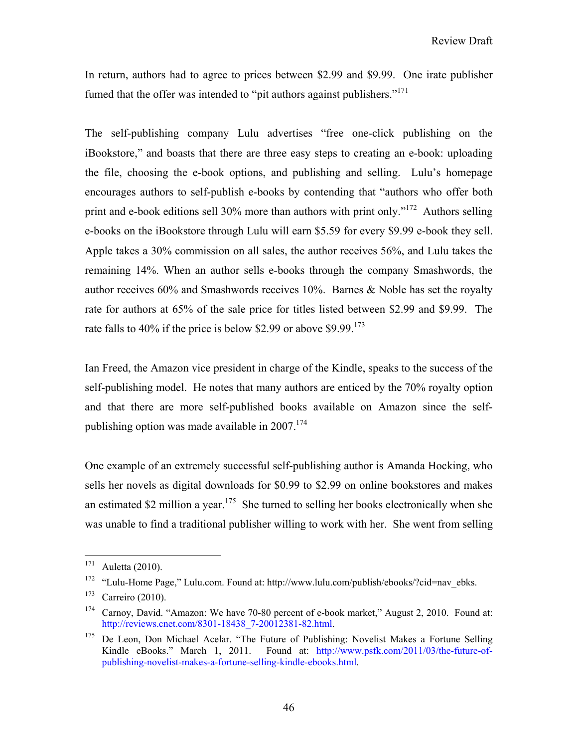In return, authors had to agree to prices between \$2.99 and \$9.99. One irate publisher fumed that the offer was intended to "pit authors against publishers."<sup>171</sup>

The self-publishing company Lulu advertises "free one-click publishing on the iBookstore," and boasts that there are three easy steps to creating an e-book: uploading the file, choosing the e-book options, and publishing and selling. Lulu's homepage encourages authors to self-publish e-books by contending that "authors who offer both print and e-book editions sell 30% more than authors with print only."172 Authors selling e-books on the iBookstore through Lulu will earn \$5.59 for every \$9.99 e-book they sell. Apple takes a 30% commission on all sales, the author receives 56%, and Lulu takes the remaining 14%. When an author sells e-books through the company Smashwords, the author receives 60% and Smashwords receives 10%. Barnes & Noble has set the royalty rate for authors at 65% of the sale price for titles listed between \$2.99 and \$9.99. The rate falls to 40% if the price is below \$2.99 or above \$9.99.<sup>173</sup>

Ian Freed, the Amazon vice president in charge of the Kindle, speaks to the success of the self-publishing model. He notes that many authors are enticed by the 70% royalty option and that there are more self-published books available on Amazon since the selfpublishing option was made available in  $2007$ <sup>174</sup>

One example of an extremely successful self-publishing author is Amanda Hocking, who sells her novels as digital downloads for \$0.99 to \$2.99 on online bookstores and makes an estimated \$2 million a year.<sup>175</sup> She turned to selling her books electronically when she was unable to find a traditional publisher willing to work with her. She went from selling

<sup>171</sup> Auletta (2010).

<sup>172 &</sup>quot;Lulu-Home Page," Lulu.com. Found at: http://www.lulu.com/publish/ebooks/?cid=nav\_ebks.

<sup>173</sup> Carreiro (2010).

<sup>&</sup>lt;sup>174</sup> Carnoy, David. "Amazon: We have 70-80 percent of e-book market," August 2, 2010. Found at: http://reviews.cnet.com/8301-18438\_7-20012381-82.html.

<sup>&</sup>lt;sup>175</sup> De Leon, Don Michael Acelar. "The Future of Publishing: Novelist Makes a Fortune Selling Kindle eBooks." March 1, 2011. Found at: http://www.psfk.com/2011/03/the-future-ofpublishing-novelist-makes-a-fortune-selling-kindle-ebooks.html.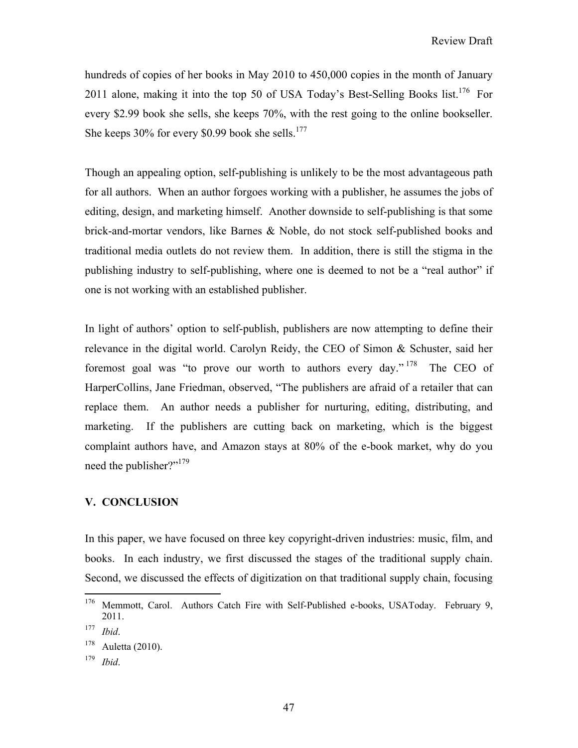hundreds of copies of her books in May 2010 to 450,000 copies in the month of January 2011 alone, making it into the top 50 of USA Today's Best-Selling Books list.<sup>176</sup> For every \$2.99 book she sells, she keeps 70%, with the rest going to the online bookseller. She keeps  $30\%$  for every \$0.99 book she sells.<sup>177</sup>

Though an appealing option, self-publishing is unlikely to be the most advantageous path for all authors. When an author forgoes working with a publisher, he assumes the jobs of editing, design, and marketing himself. Another downside to self-publishing is that some brick-and-mortar vendors, like Barnes & Noble, do not stock self-published books and traditional media outlets do not review them. In addition, there is still the stigma in the publishing industry to self-publishing, where one is deemed to not be a "real author" if one is not working with an established publisher.

In light of authors' option to self-publish, publishers are now attempting to define their relevance in the digital world. Carolyn Reidy, the CEO of Simon & Schuster, said her foremost goal was "to prove our worth to authors every day." 178 The CEO of HarperCollins, Jane Friedman, observed, "The publishers are afraid of a retailer that can replace them. An author needs a publisher for nurturing, editing, distributing, and marketing. If the publishers are cutting back on marketing, which is the biggest complaint authors have, and Amazon stays at 80% of the e-book market, why do you need the publisher?"<sup>179</sup>

# **V. CONCLUSION**

In this paper, we have focused on three key copyright-driven industries: music, film, and books. In each industry, we first discussed the stages of the traditional supply chain. Second, we discussed the effects of digitization on that traditional supply chain, focusing

1

<sup>&</sup>lt;sup>176</sup> Memmott, Carol. Authors Catch Fire with Self-Published e-books, USAToday. February 9, 2011.

<sup>177</sup> *Ibid*.

<sup>178</sup> Auletta (2010).

<sup>179</sup> *Ibid*.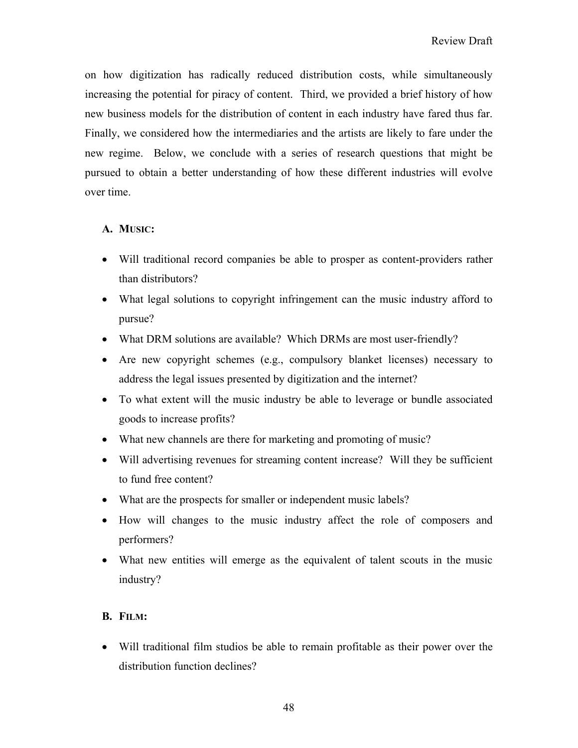on how digitization has radically reduced distribution costs, while simultaneously increasing the potential for piracy of content. Third, we provided a brief history of how new business models for the distribution of content in each industry have fared thus far. Finally, we considered how the intermediaries and the artists are likely to fare under the new regime. Below, we conclude with a series of research questions that might be pursued to obtain a better understanding of how these different industries will evolve over time.

# **A. MUSIC:**

- Will traditional record companies be able to prosper as content-providers rather than distributors?
- What legal solutions to copyright infringement can the music industry afford to pursue?
- What DRM solutions are available? Which DRMs are most user-friendly?
- Are new copyright schemes (e.g., compulsory blanket licenses) necessary to address the legal issues presented by digitization and the internet?
- To what extent will the music industry be able to leverage or bundle associated goods to increase profits?
- What new channels are there for marketing and promoting of music?
- Will advertising revenues for streaming content increase? Will they be sufficient to fund free content?
- What are the prospects for smaller or independent music labels?
- How will changes to the music industry affect the role of composers and performers?
- What new entities will emerge as the equivalent of talent scouts in the music industry?

# **B. FILM:**

 Will traditional film studios be able to remain profitable as their power over the distribution function declines?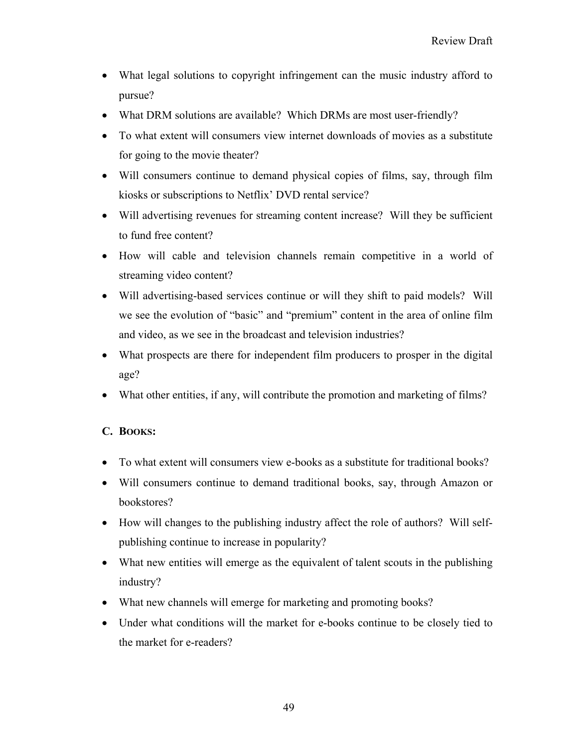- What legal solutions to copyright infringement can the music industry afford to pursue?
- What DRM solutions are available? Which DRMs are most user-friendly?
- To what extent will consumers view internet downloads of movies as a substitute for going to the movie theater?
- Will consumers continue to demand physical copies of films, say, through film kiosks or subscriptions to Netflix' DVD rental service?
- Will advertising revenues for streaming content increase? Will they be sufficient to fund free content?
- How will cable and television channels remain competitive in a world of streaming video content?
- Will advertising-based services continue or will they shift to paid models? Will we see the evolution of "basic" and "premium" content in the area of online film and video, as we see in the broadcast and television industries?
- What prospects are there for independent film producers to prosper in the digital age?
- What other entities, if any, will contribute the promotion and marketing of films?

# **C. BOOKS:**

- To what extent will consumers view e-books as a substitute for traditional books?
- Will consumers continue to demand traditional books, say, through Amazon or bookstores?
- How will changes to the publishing industry affect the role of authors? Will selfpublishing continue to increase in popularity?
- What new entities will emerge as the equivalent of talent scouts in the publishing industry?
- What new channels will emerge for marketing and promoting books?
- Under what conditions will the market for e-books continue to be closely tied to the market for e-readers?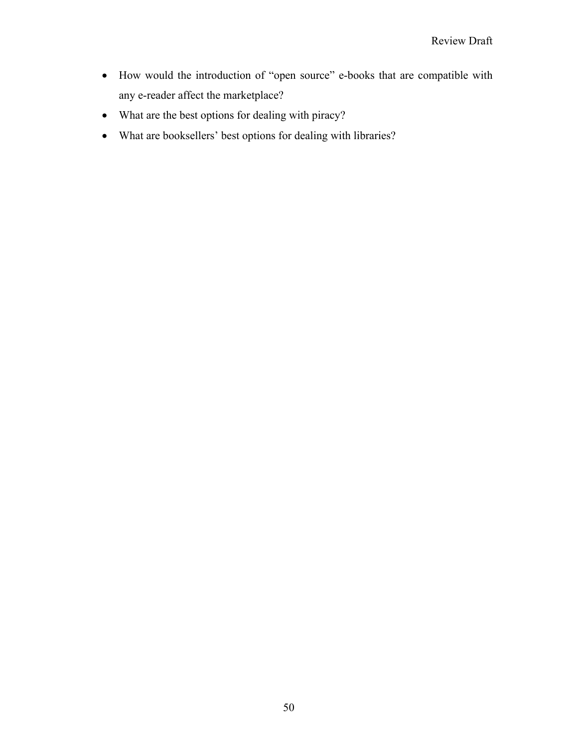- How would the introduction of "open source" e-books that are compatible with any e-reader affect the marketplace?
- What are the best options for dealing with piracy?
- What are booksellers' best options for dealing with libraries?